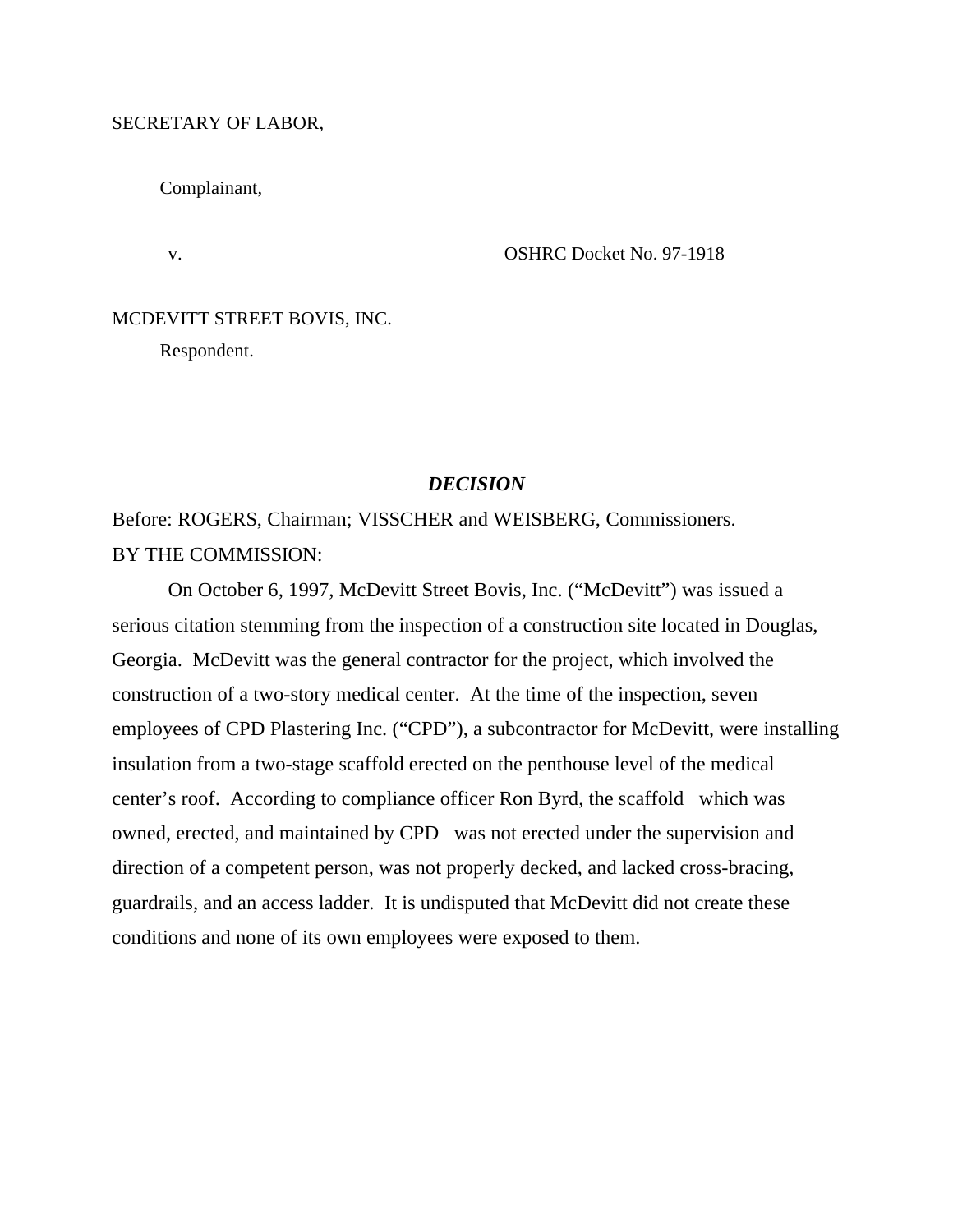## SECRETARY OF LABOR,

Complainant,

v. CSHRC Docket No. 97-1918

# MCDEVITT STREET BOVIS, INC.

Respondent.

# *DECISION*

Before: ROGERS, Chairman; VISSCHER and WEISBERG, Commissioners. BY THE COMMISSION:

On October 6, 1997, McDevitt Street Bovis, Inc. ("McDevitt") was issued a serious citation stemming from the inspection of a construction site located in Douglas, Georgia. McDevitt was the general contractor for the project, which involved the construction of a two-story medical center. At the time of the inspection, seven employees of CPD Plastering Inc. ("CPD"), a subcontractor for McDevitt, were installing insulation from a two-stage scaffold erected on the penthouse level of the medical center's roof. According to compliance officer Ron Byrd, the scaffold which was owned, erected, and maintained by CPD was not erected under the supervision and direction of a competent person, was not properly decked, and lacked cross-bracing, guardrails, and an access ladder. It is undisputed that McDevitt did not create these conditions and none of its own employees were exposed to them.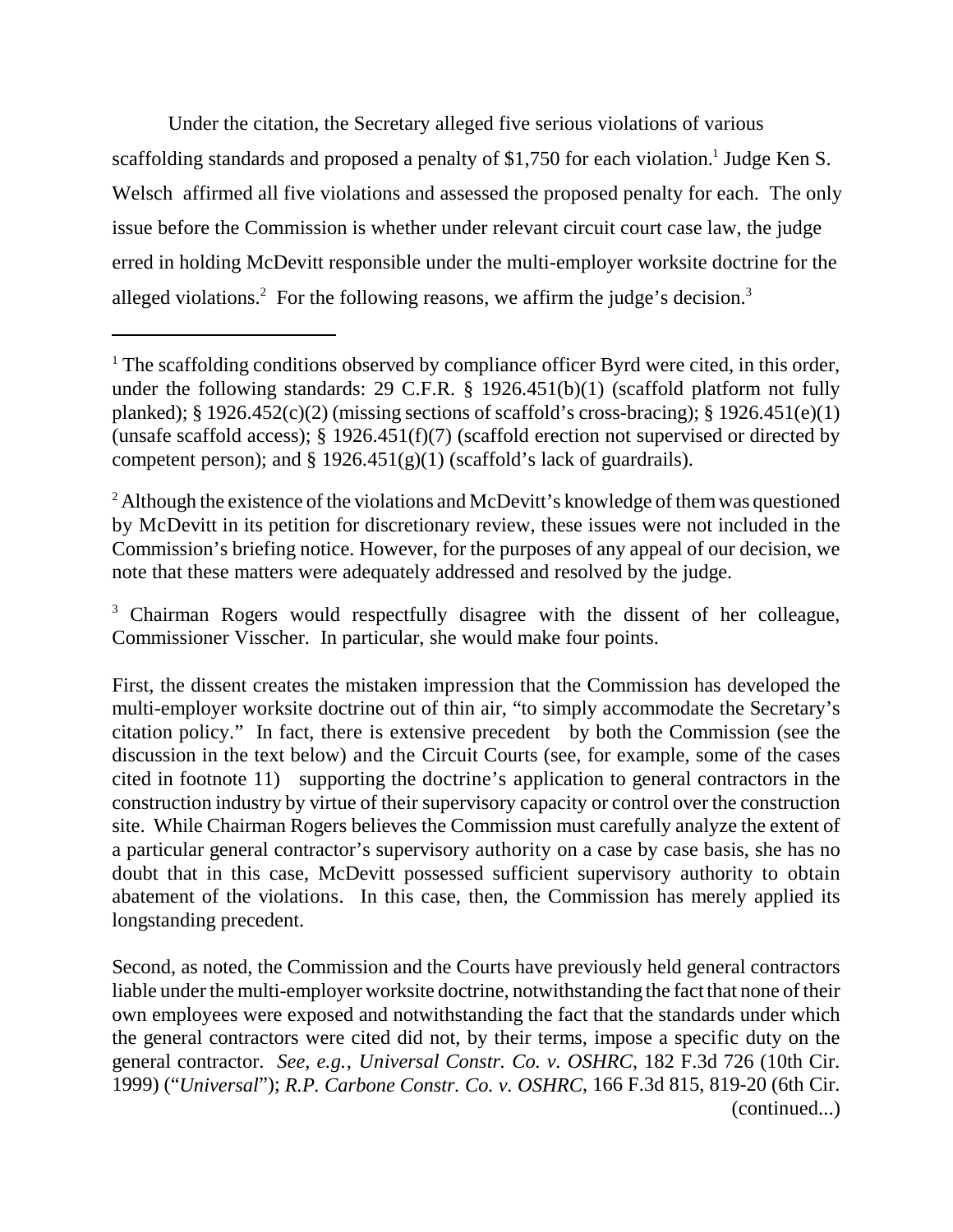Under the citation, the Secretary alleged five serious violations of various scaffolding standards and proposed a penalty of \$1,750 for each violation.<sup>1</sup> Judge Ken S. Welsch affirmed all five violations and assessed the proposed penalty for each. The only issue before the Commission is whether under relevant circuit court case law, the judge erred in holding McDevitt responsible under the multi-employer worksite doctrine for the alleged violations.<sup>2</sup> For the following reasons, we affirm the judge's decision.<sup>3</sup>

<sup>3</sup> Chairman Rogers would respectfully disagree with the dissent of her colleague, Commissioner Visscher. In particular, she would make four points.

Second, as noted, the Commission and the Courts have previously held general contractors liable under the multi-employer worksite doctrine, notwithstanding the fact that none of their own employees were exposed and notwithstanding the fact that the standards under which the general contractors were cited did not, by their terms, impose a specific duty on the general contractor. *See, e.g., Universal Constr. Co. v. OSHRC*, 182 F.3d 726 (10th Cir. 1999) ("*Universal*"); *R.P. Carbone Constr. Co. v. OSHRC*, 166 F.3d 815, 819-20 (6th Cir. (continued...)

<sup>&</sup>lt;sup>1</sup> The scaffolding conditions observed by compliance officer Byrd were cited, in this order, under the following standards: 29 C.F.R. § 1926.451(b)(1) (scaffold platform not fully planked); § 1926.452(c)(2) (missing sections of scaffold's cross-bracing); § 1926.451(e)(1) (unsafe scaffold access); § 1926.451(f)(7) (scaffold erection not supervised or directed by competent person); and  $\S 1926.451(g)(1)$  (scaffold's lack of guardrails).

 $2$  Although the existence of the violations and McDevitt's knowledge of them was questioned by McDevitt in its petition for discretionary review, these issues were not included in the Commission's briefing notice. However, for the purposes of any appeal of our decision, we note that these matters were adequately addressed and resolved by the judge.

First, the dissent creates the mistaken impression that the Commission has developed the multi-employer worksite doctrine out of thin air, "to simply accommodate the Secretary's citation policy." In fact, there is extensive precedent by both the Commission (see the discussion in the text below) and the Circuit Courts (see, for example, some of the cases cited in footnote 11) supporting the doctrine's application to general contractors in the construction industry by virtue of their supervisory capacity or control over the construction site. While Chairman Rogers believes the Commission must carefully analyze the extent of a particular general contractor's supervisory authority on a case by case basis, she has no doubt that in this case, McDevitt possessed sufficient supervisory authority to obtain abatement of the violations. In this case, then, the Commission has merely applied its longstanding precedent.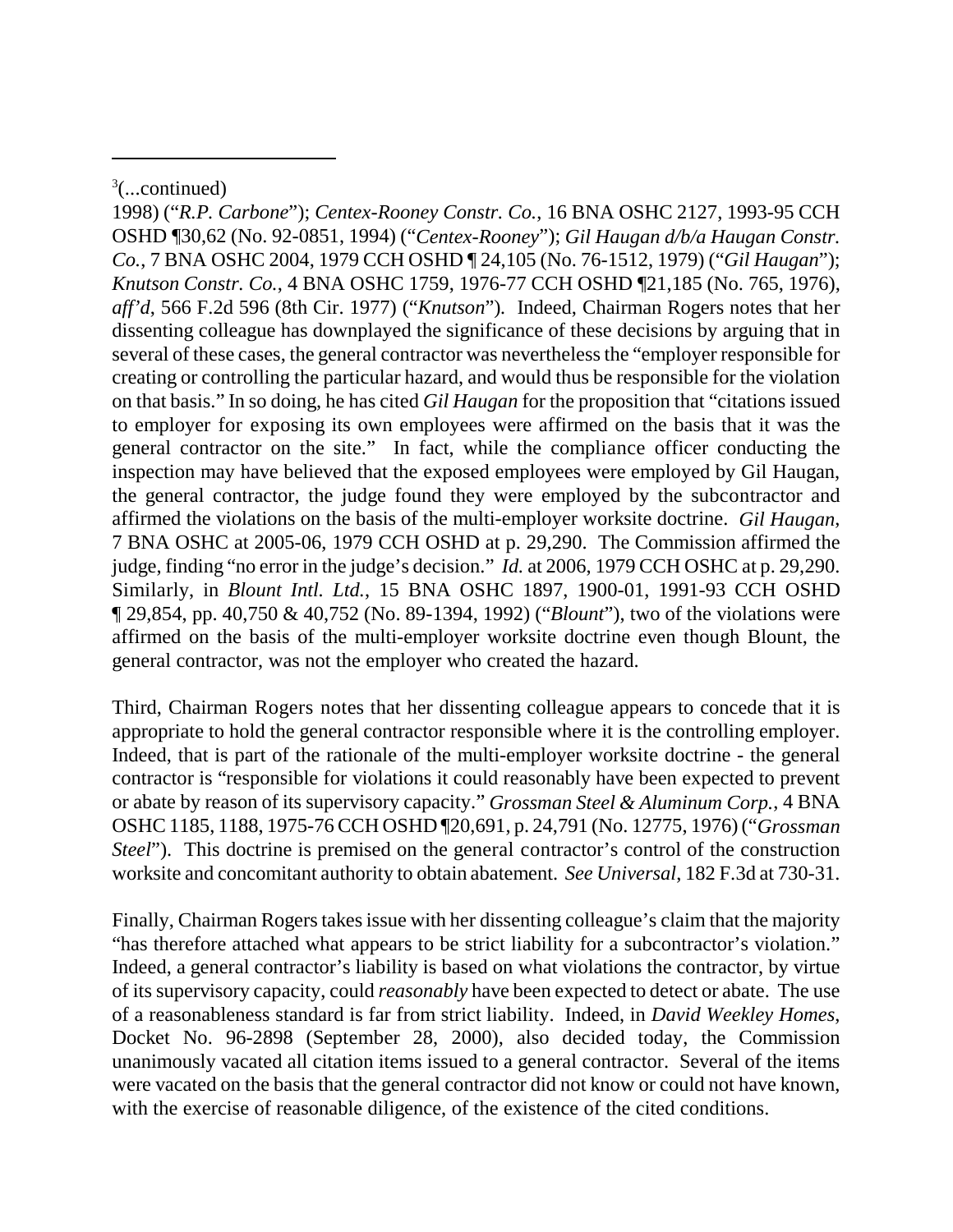1998) ("*R.P. Carbone*"); *Centex-Rooney Constr. Co.*, 16 BNA OSHC 2127, 1993-95 CCH OSHD ¶30,62 (No. 92-0851, 1994) ("*Centex-Rooney*"); *Gil Haugan d/b/a Haugan Constr. Co.*, 7 BNA OSHC 2004, 1979 CCH OSHD ¶ 24,105 (No. 76-1512, 1979) ("*Gil Haugan*"); *Knutson Constr. Co.*, 4 BNA OSHC 1759, 1976-77 CCH OSHD ¶21,185 (No. 765, 1976), *aff'd*, 566 F.2d 596 (8th Cir. 1977) ("*Knutson*")*.* Indeed, Chairman Rogers notes that her dissenting colleague has downplayed the significance of these decisions by arguing that in several of these cases, the general contractor was nevertheless the "employer responsible for creating or controlling the particular hazard, and would thus be responsible for the violation on that basis." In so doing, he has cited *Gil Haugan* for the proposition that "citations issued to employer for exposing its own employees were affirmed on the basis that it was the general contractor on the site." In fact, while the compliance officer conducting the inspection may have believed that the exposed employees were employed by Gil Haugan, the general contractor, the judge found they were employed by the subcontractor and affirmed the violations on the basis of the multi-employer worksite doctrine. *Gil Haugan*, 7 BNA OSHC at 2005-06, 1979 CCH OSHD at p. 29,290. The Commission affirmed the judge, finding "no error in the judge's decision." *Id.* at 2006, 1979 CCH OSHC at p. 29,290. Similarly, in *Blount Intl. Ltd.*, 15 BNA OSHC 1897, 1900-01, 1991-93 CCH OSHD ¶ 29,854, pp. 40,750 & 40,752 (No. 89-1394, 1992) ("*Blount*"), two of the violations were affirmed on the basis of the multi-employer worksite doctrine even though Blount, the general contractor, was not the employer who created the hazard.

Third, Chairman Rogers notes that her dissenting colleague appears to concede that it is appropriate to hold the general contractor responsible where it is the controlling employer. Indeed, that is part of the rationale of the multi-employer worksite doctrine - the general contractor is "responsible for violations it could reasonably have been expected to prevent or abate by reason of its supervisory capacity." *Grossman Steel & Aluminum Corp.*, 4 BNA OSHC 1185, 1188, 1975-76 CCH OSHD ¶20,691, p. 24,791 (No. 12775, 1976) ("*Grossman Steel*"). This doctrine is premised on the general contractor's control of the construction worksite and concomitant authority to obtain abatement. *See Universal*, 182 F.3d at 730-31.

Finally, Chairman Rogers takes issue with her dissenting colleague's claim that the majority "has therefore attached what appears to be strict liability for a subcontractor's violation." Indeed, a general contractor's liability is based on what violations the contractor, by virtue of its supervisory capacity, could *reasonably* have been expected to detect or abate. The use of a reasonableness standard is far from strict liability. Indeed, in *David Weekley Homes*, Docket No. 96-2898 (September 28, 2000), also decided today, the Commission unanimously vacated all citation items issued to a general contractor. Several of the items were vacated on the basis that the general contractor did not know or could not have known, with the exercise of reasonable diligence, of the existence of the cited conditions.

 $3$ (...continued)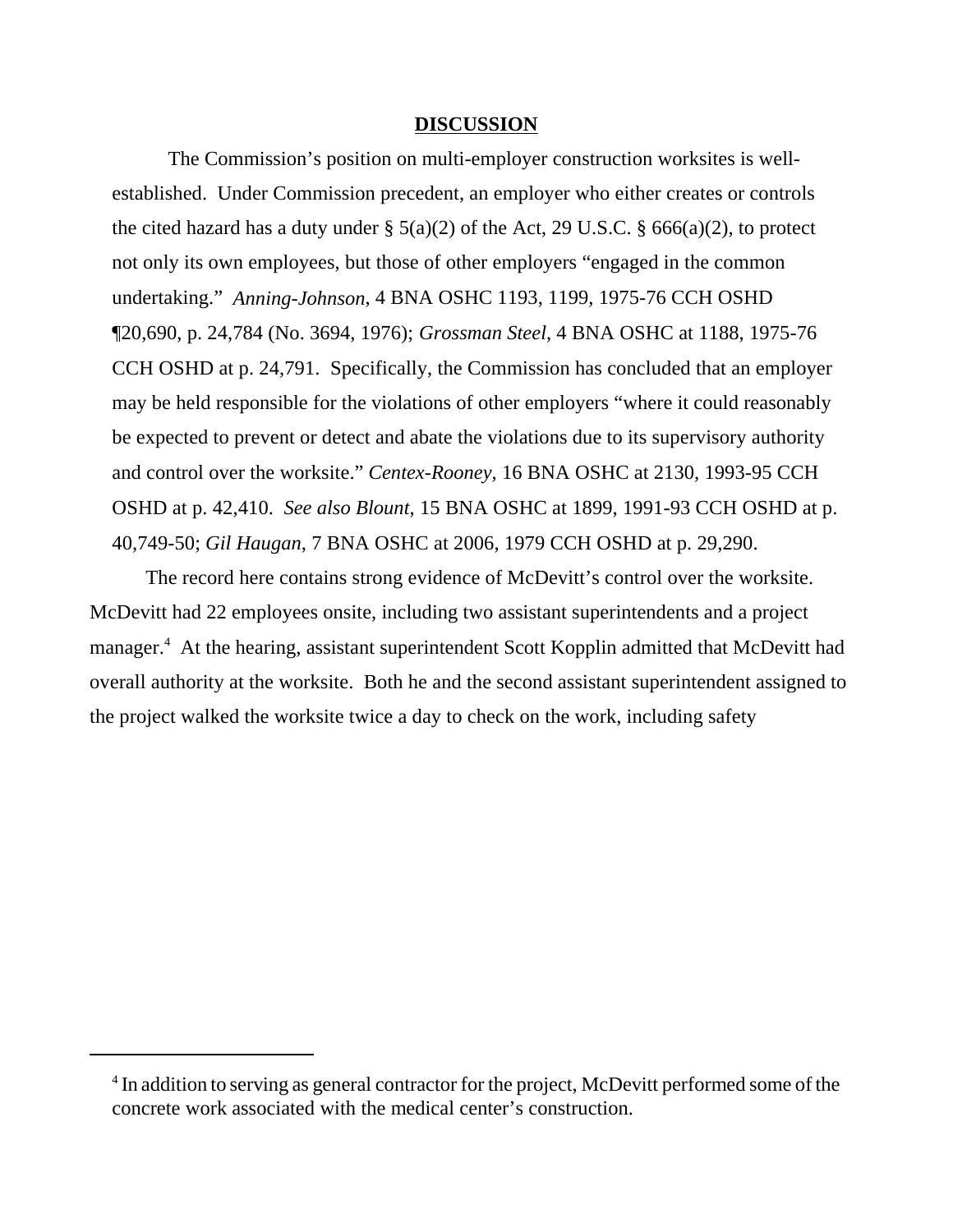## **DISCUSSION**

The Commission's position on multi-employer construction worksites is wellestablished. Under Commission precedent, an employer who either creates or controls the cited hazard has a duty under  $\S$  5(a)(2) of the Act, 29 U.S.C.  $\S$  666(a)(2), to protect not only its own employees, but those of other employers "engaged in the common undertaking." *Anning-Johnson*, 4 BNA OSHC 1193, 1199, 1975-76 CCH OSHD ¶20,690, p. 24,784 (No. 3694, 1976); *Grossman Steel*, 4 BNA OSHC at 1188, 1975-76 CCH OSHD at p. 24,791. Specifically, the Commission has concluded that an employer may be held responsible for the violations of other employers "where it could reasonably be expected to prevent or detect and abate the violations due to its supervisory authority and control over the worksite." *Centex-Rooney*, 16 BNA OSHC at 2130, 1993-95 CCH OSHD at p. 42,410. *See also Blount*, 15 BNA OSHC at 1899, 1991-93 CCH OSHD at p. 40,749-50; *Gil Haugan*, 7 BNA OSHC at 2006, 1979 CCH OSHD at p. 29,290.

The record here contains strong evidence of McDevitt's control over the worksite. McDevitt had 22 employees onsite, including two assistant superintendents and a project manager.<sup>4</sup> At the hearing, assistant superintendent Scott Kopplin admitted that McDevitt had overall authority at the worksite. Both he and the second assistant superintendent assigned to the project walked the worksite twice a day to check on the work, including safety

<sup>&</sup>lt;sup>4</sup> In addition to serving as general contractor for the project, McDevitt performed some of the concrete work associated with the medical center's construction.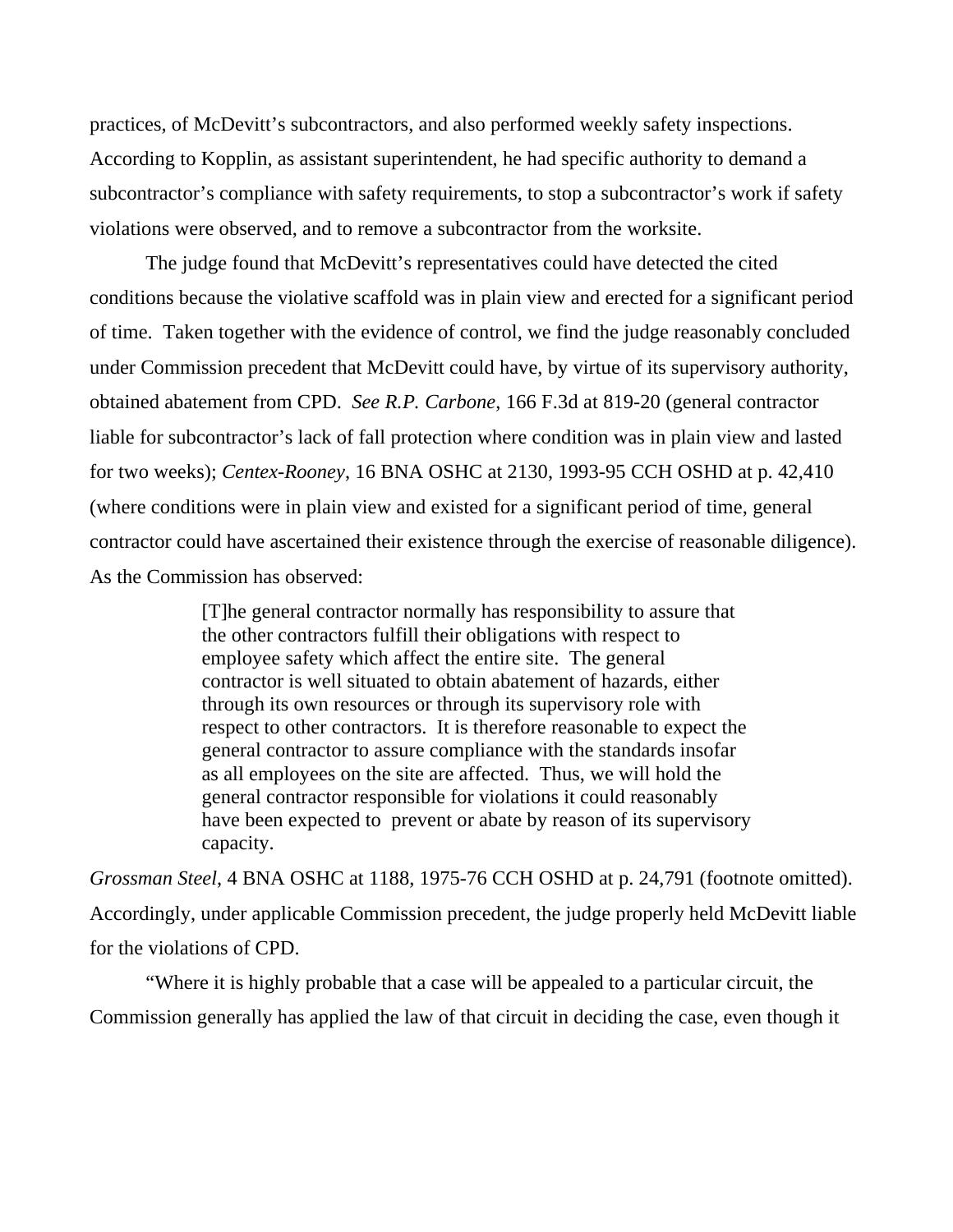practices, of McDevitt's subcontractors, and also performed weekly safety inspections. According to Kopplin, as assistant superintendent, he had specific authority to demand a subcontractor's compliance with safety requirements, to stop a subcontractor's work if safety violations were observed, and to remove a subcontractor from the worksite.

The judge found that McDevitt's representatives could have detected the cited conditions because the violative scaffold was in plain view and erected for a significant period of time. Taken together with the evidence of control, we find the judge reasonably concluded under Commission precedent that McDevitt could have, by virtue of its supervisory authority, obtained abatement from CPD. *See R.P. Carbone*, 166 F.3d at 819-20 (general contractor liable for subcontractor's lack of fall protection where condition was in plain view and lasted for two weeks); *Centex-Rooney*, 16 BNA OSHC at 2130, 1993-95 CCH OSHD at p. 42,410 (where conditions were in plain view and existed for a significant period of time, general contractor could have ascertained their existence through the exercise of reasonable diligence). As the Commission has observed:

> [T]he general contractor normally has responsibility to assure that the other contractors fulfill their obligations with respect to employee safety which affect the entire site. The general contractor is well situated to obtain abatement of hazards, either through its own resources or through its supervisory role with respect to other contractors. It is therefore reasonable to expect the general contractor to assure compliance with the standards insofar as all employees on the site are affected. Thus, we will hold the general contractor responsible for violations it could reasonably have been expected to prevent or abate by reason of its supervisory capacity.

*Grossman Steel*, 4 BNA OSHC at 1188, 1975-76 CCH OSHD at p. 24,791 (footnote omitted). Accordingly, under applicable Commission precedent, the judge properly held McDevitt liable for the violations of CPD.

"Where it is highly probable that a case will be appealed to a particular circuit, the Commission generally has applied the law of that circuit in deciding the case, even though it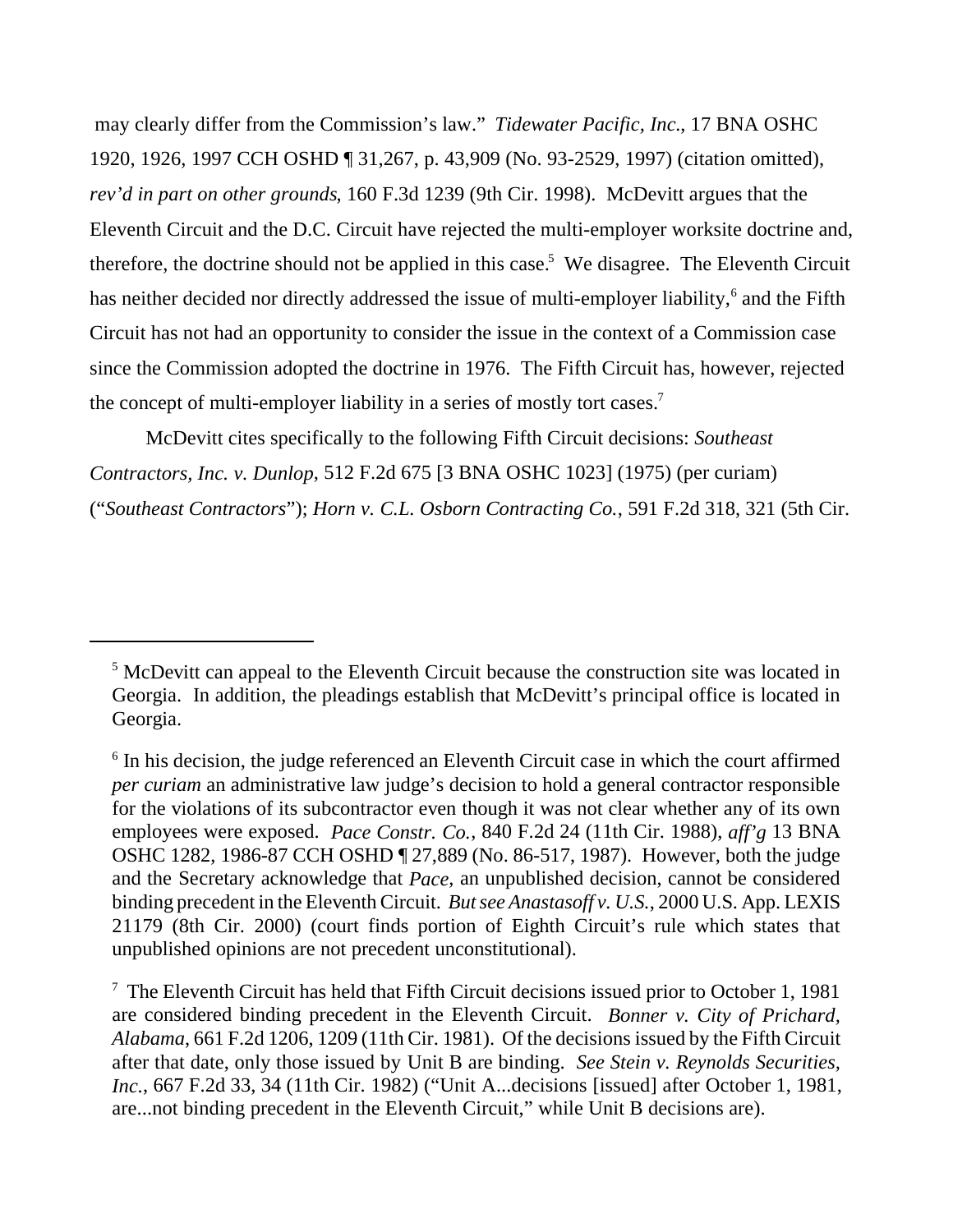may clearly differ from the Commission's law." *Tidewater Pacific, Inc.*, 17 BNA OSHC 1920, 1926, 1997 CCH OSHD ¶ 31,267, p. 43,909 (No. 93-2529, 1997) (citation omitted), *rev'd in part on other grounds*, 160 F.3d 1239 (9th Cir. 1998). McDevitt argues that the Eleventh Circuit and the D.C. Circuit have rejected the multi-employer worksite doctrine and, therefore, the doctrine should not be applied in this case.<sup>5</sup> We disagree. The Eleventh Circuit has neither decided nor directly addressed the issue of multi-employer liability,<sup>6</sup> and the Fifth Circuit has not had an opportunity to consider the issue in the context of a Commission case since the Commission adopted the doctrine in 1976. The Fifth Circuit has, however, rejected the concept of multi-employer liability in a series of mostly tort cases.<sup>7</sup>

McDevitt cites specifically to the following Fifth Circuit decisions: *Southeast Contractors, Inc. v. Dunlop*, 512 F.2d 675 [3 BNA OSHC 1023] (1975) (per curiam) ("*Southeast Contractors*"); *Horn v. C.L. Osborn Contracting Co.*, 591 F.2d 318, 321 (5th Cir.

<sup>&</sup>lt;sup>5</sup> McDevitt can appeal to the Eleventh Circuit because the construction site was located in Georgia. In addition, the pleadings establish that McDevitt's principal office is located in Georgia.

<sup>&</sup>lt;sup>6</sup> In his decision, the judge referenced an Eleventh Circuit case in which the court affirmed *per curiam* an administrative law judge's decision to hold a general contractor responsible for the violations of its subcontractor even though it was not clear whether any of its own employees were exposed. *Pace Constr. Co.*, 840 F.2d 24 (11th Cir. 1988), *aff'g* 13 BNA OSHC 1282, 1986-87 CCH OSHD ¶ 27,889 (No. 86-517, 1987). However, both the judge and the Secretary acknowledge that *Pace*, an unpublished decision, cannot be considered binding precedent in the Eleventh Circuit. *But see Anastasoff v. U.S.*, 2000 U.S. App. LEXIS 21179 (8th Cir. 2000) (court finds portion of Eighth Circuit's rule which states that unpublished opinions are not precedent unconstitutional).

<sup>&</sup>lt;sup>7</sup> The Eleventh Circuit has held that Fifth Circuit decisions issued prior to October 1, 1981 are considered binding precedent in the Eleventh Circuit. *Bonner v. City of Prichard, Alabama*, 661 F.2d 1206, 1209 (11th Cir. 1981). Of the decisions issued by the Fifth Circuit after that date, only those issued by Unit B are binding. *See Stein v. Reynolds Securities, Inc.*, 667 F.2d 33, 34 (11th Cir. 1982) ("Unit A...decisions [issued] after October 1, 1981, are...not binding precedent in the Eleventh Circuit," while Unit B decisions are).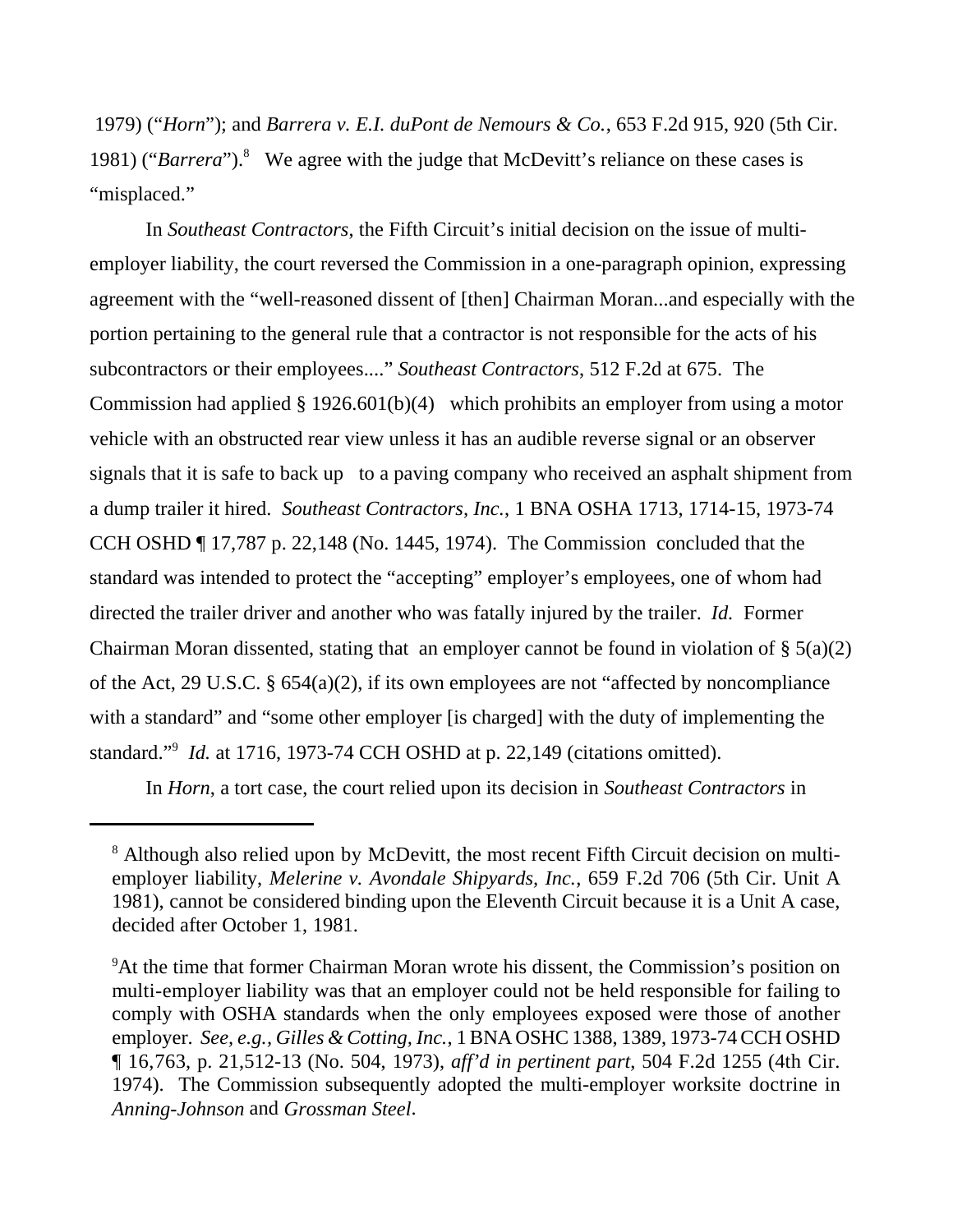1979) ("*Horn*"); and *Barrera v. E.I. duPont de Nemours & Co.*, 653 F.2d 915, 920 (5th Cir. 1981) ("Barrera").<sup>8</sup> We agree with the judge that McDevitt's reliance on these cases is "misplaced."

In *Southeast Contractors*, the Fifth Circuit's initial decision on the issue of multiemployer liability, the court reversed the Commission in a one-paragraph opinion, expressing agreement with the "well-reasoned dissent of [then] Chairman Moran...and especially with the portion pertaining to the general rule that a contractor is not responsible for the acts of his subcontractors or their employees...." *Southeast Contractors*, 512 F.2d at 675. The Commission had applied § 1926.601(b)(4) which prohibits an employer from using a motor vehicle with an obstructed rear view unless it has an audible reverse signal or an observer signals that it is safe to back up to a paving company who received an asphalt shipment from a dump trailer it hired. *Southeast Contractors, Inc.*, 1 BNA OSHA 1713, 1714-15, 1973-74 CCH OSHD ¶ 17,787 p. 22,148 (No. 1445, 1974). The Commission concluded that the standard was intended to protect the "accepting" employer's employees, one of whom had directed the trailer driver and another who was fatally injured by the trailer. *Id.* Former Chairman Moran dissented, stating that an employer cannot be found in violation of  $\S$  5(a)(2) of the Act, 29 U.S.C. § 654(a)(2), if its own employees are not "affected by noncompliance with a standard" and "some other employer [is charged] with the duty of implementing the standard."9 *Id.* at 1716, 1973-74 CCH OSHD at p. 22,149 (citations omitted).

In *Horn*, a tort case, the court relied upon its decision in *Southeast Contractors* in

<sup>&</sup>lt;sup>8</sup> Although also relied upon by McDevitt, the most recent Fifth Circuit decision on multiemployer liability, *Melerine v. Avondale Shipyards, Inc.*, 659 F.2d 706 (5th Cir. Unit A 1981), cannot be considered binding upon the Eleventh Circuit because it is a Unit A case, decided after October 1, 1981.

<sup>&</sup>lt;sup>9</sup>At the time that former Chairman Moran wrote his dissent, the Commission's position on multi-employer liability was that an employer could not be held responsible for failing to comply with OSHA standards when the only employees exposed were those of another employer. *See, e.g., Gilles & Cotting, Inc.*, 1 BNA OSHC 1388, 1389, 1973-74 CCH OSHD ¶ 16,763, p. 21,512-13 (No. 504, 1973), *aff'd in pertinent part*, 504 F.2d 1255 (4th Cir. 1974). The Commission subsequently adopted the multi-employer worksite doctrine in *Anning-Johnson* and *Grossman Steel*.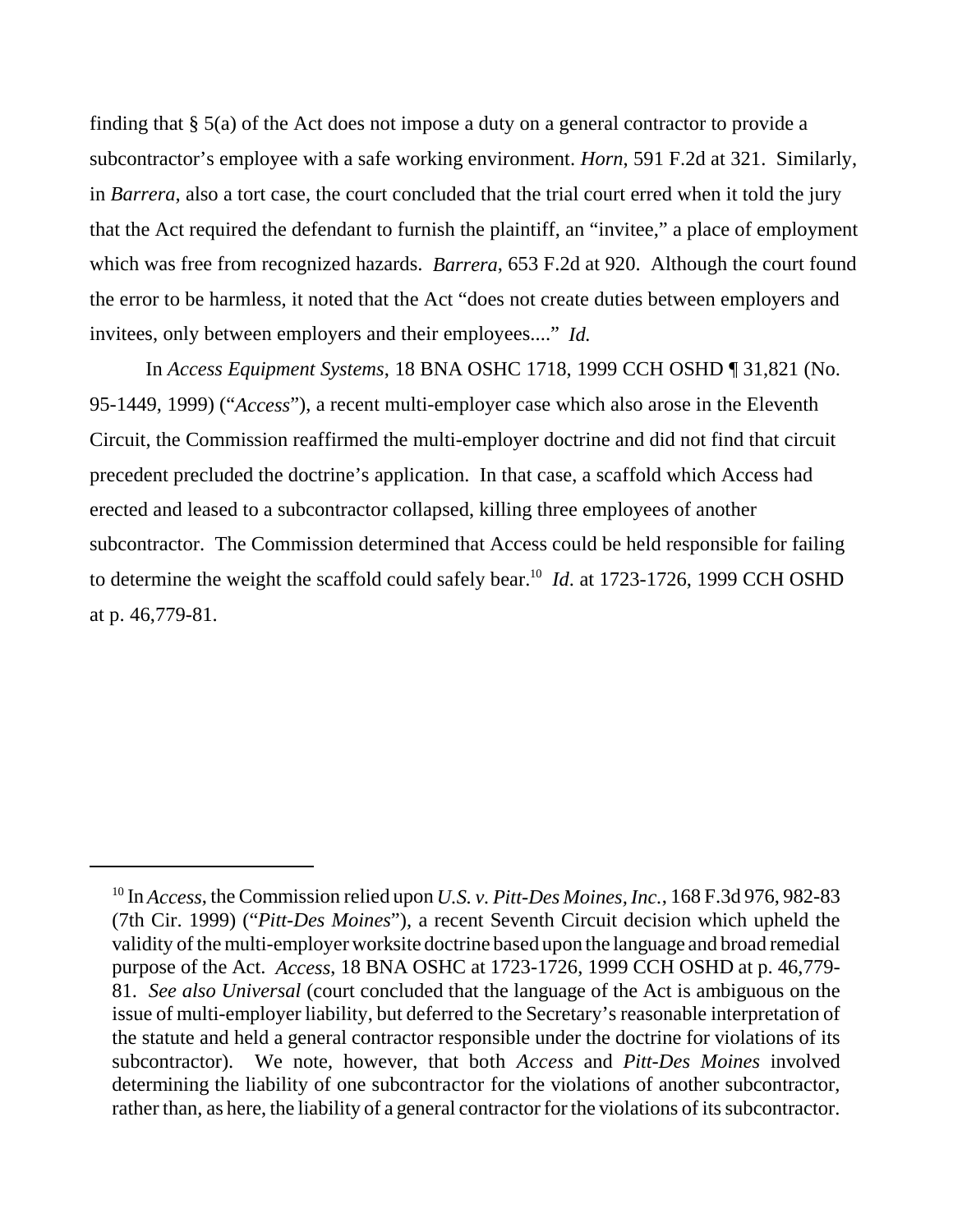finding that § 5(a) of the Act does not impose a duty on a general contractor to provide a subcontractor's employee with a safe working environment. *Horn*, 591 F.2d at 321. Similarly, in *Barrera*, also a tort case, the court concluded that the trial court erred when it told the jury that the Act required the defendant to furnish the plaintiff, an "invitee," a place of employment which was free from recognized hazards. *Barrera*, 653 F.2d at 920. Although the court found the error to be harmless, it noted that the Act "does not create duties between employers and invitees, only between employers and their employees...." *Id.*

In *Access Equipment Systems*, 18 BNA OSHC 1718, 1999 CCH OSHD ¶ 31,821 (No. 95-1449, 1999) ("*Access*"), a recent multi-employer case which also arose in the Eleventh Circuit, the Commission reaffirmed the multi-employer doctrine and did not find that circuit precedent precluded the doctrine's application. In that case, a scaffold which Access had erected and leased to a subcontractor collapsed, killing three employees of another subcontractor. The Commission determined that Access could be held responsible for failing to determine the weight the scaffold could safely bear.<sup>10</sup> *Id.* at 1723-1726, 1999 CCH OSHD at p. 46,779-81.

<sup>10</sup> In *Access*, the Commission relied upon *U.S. v. Pitt-Des Moines, Inc.*, 168 F.3d 976, 982-83 (7th Cir. 1999) ("*Pitt-Des Moines*"), a recent Seventh Circuit decision which upheld the validity of the multi-employer worksite doctrine based upon the language and broad remedial purpose of the Act. *Access*, 18 BNA OSHC at 1723-1726, 1999 CCH OSHD at p. 46,779- 81. *See also Universal* (court concluded that the language of the Act is ambiguous on the issue of multi-employer liability, but deferred to the Secretary's reasonable interpretation of the statute and held a general contractor responsible under the doctrine for violations of its subcontractor). We note, however, that both *Access* and *Pitt-Des Moines* involved determining the liability of one subcontractor for the violations of another subcontractor, rather than, as here, the liability of a general contractor for the violations of its subcontractor.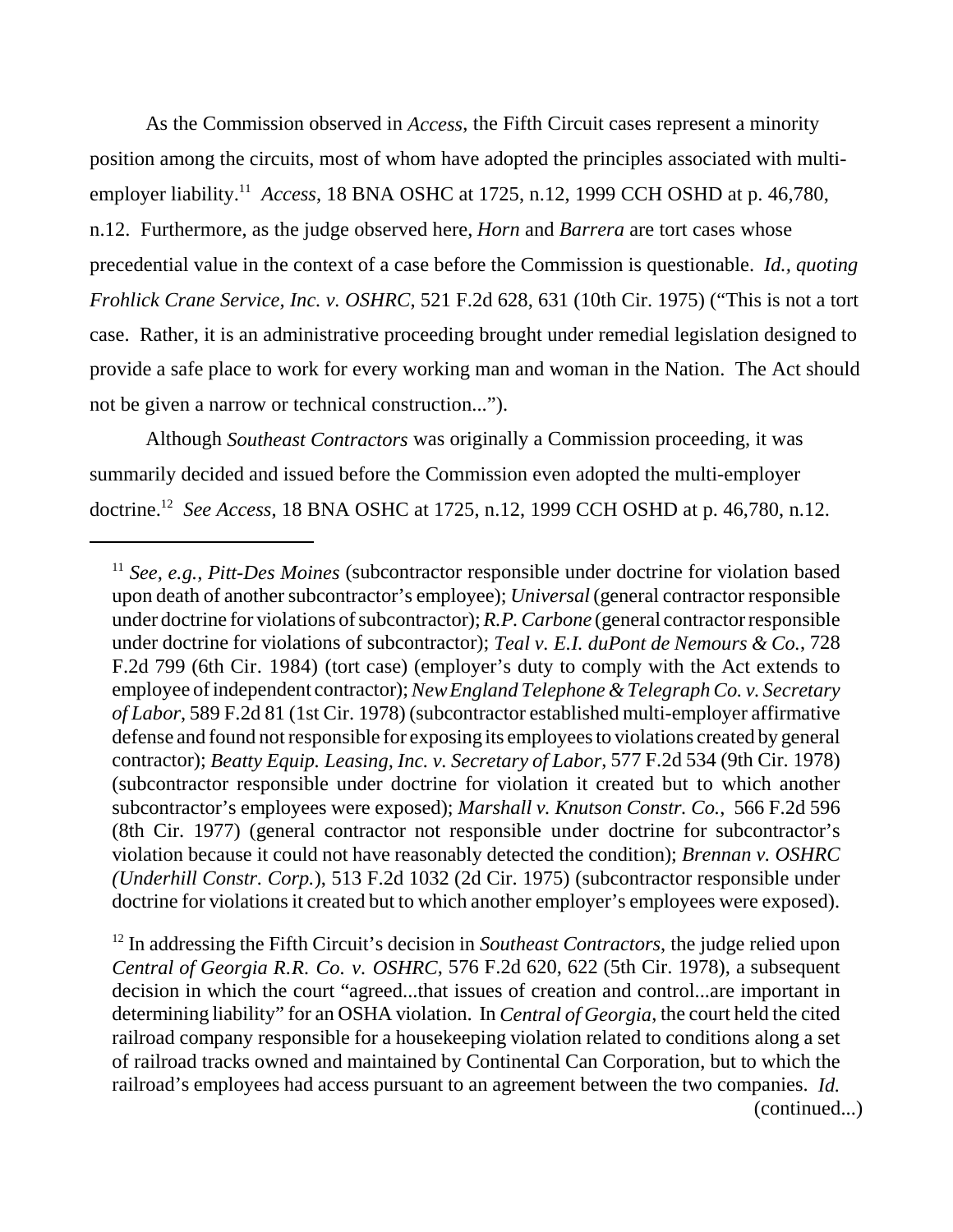As the Commission observed in *Access*, the Fifth Circuit cases represent a minority position among the circuits, most of whom have adopted the principles associated with multiemployer liability.11 *Access*, 18 BNA OSHC at 1725, n.12, 1999 CCH OSHD at p. 46,780, n.12. Furthermore, as the judge observed here, *Horn* and *Barrera* are tort cases whose precedential value in the context of a case before the Commission is questionable. *Id., quoting Frohlick Crane Service, Inc. v. OSHRC*, 521 F.2d 628, 631 (10th Cir. 1975) ("This is not a tort case. Rather, it is an administrative proceeding brought under remedial legislation designed to provide a safe place to work for every working man and woman in the Nation. The Act should not be given a narrow or technical construction...").

Although *Southeast Contractors* was originally a Commission proceeding, it was summarily decided and issued before the Commission even adopted the multi-employer doctrine.12 *See Access*, 18 BNA OSHC at 1725, n.12, 1999 CCH OSHD at p. 46,780, n.12.

<sup>&</sup>lt;sup>11</sup> *See, e.g., Pitt-Des Moines* (subcontractor responsible under doctrine for violation based upon death of another subcontractor's employee); *Universal* (general contractor responsible under doctrine for violations of subcontractor); *R.P. Carbone* (general contractor responsible under doctrine for violations of subcontractor); *Teal v. E.I. duPont de Nemours & Co.*, 728 F.2d 799 (6th Cir. 1984) (tort case) (employer's duty to comply with the Act extends to employee of independent contractor); *New England Telephone & Telegraph Co. v. Secretary of Labor*, 589 F.2d 81 (1st Cir. 1978) (subcontractor established multi-employer affirmative defense and found not responsible for exposing its employees to violations created by general contractor); *Beatty Equip. Leasing, Inc. v. Secretary of Labor*, 577 F.2d 534 (9th Cir. 1978) (subcontractor responsible under doctrine for violation it created but to which another subcontractor's employees were exposed); *Marshall v. Knutson Constr. Co.*, 566 F.2d 596 (8th Cir. 1977) (general contractor not responsible under doctrine for subcontractor's violation because it could not have reasonably detected the condition); *Brennan v. OSHRC (Underhill Constr. Corp.*), 513 F.2d 1032 (2d Cir. 1975) (subcontractor responsible under doctrine for violations it created but to which another employer's employees were exposed).

<sup>&</sup>lt;sup>12</sup> In addressing the Fifth Circuit's decision in *Southeast Contractors*, the judge relied upon *Central of Georgia R.R. Co. v. OSHRC*, 576 F.2d 620, 622 (5th Cir. 1978), a subsequent decision in which the court "agreed...that issues of creation and control...are important in determining liability" for an OSHA violation. In *Central of Georgia*, the court held the cited railroad company responsible for a housekeeping violation related to conditions along a set of railroad tracks owned and maintained by Continental Can Corporation, but to which the railroad's employees had access pursuant to an agreement between the two companies. *Id.* (continued...)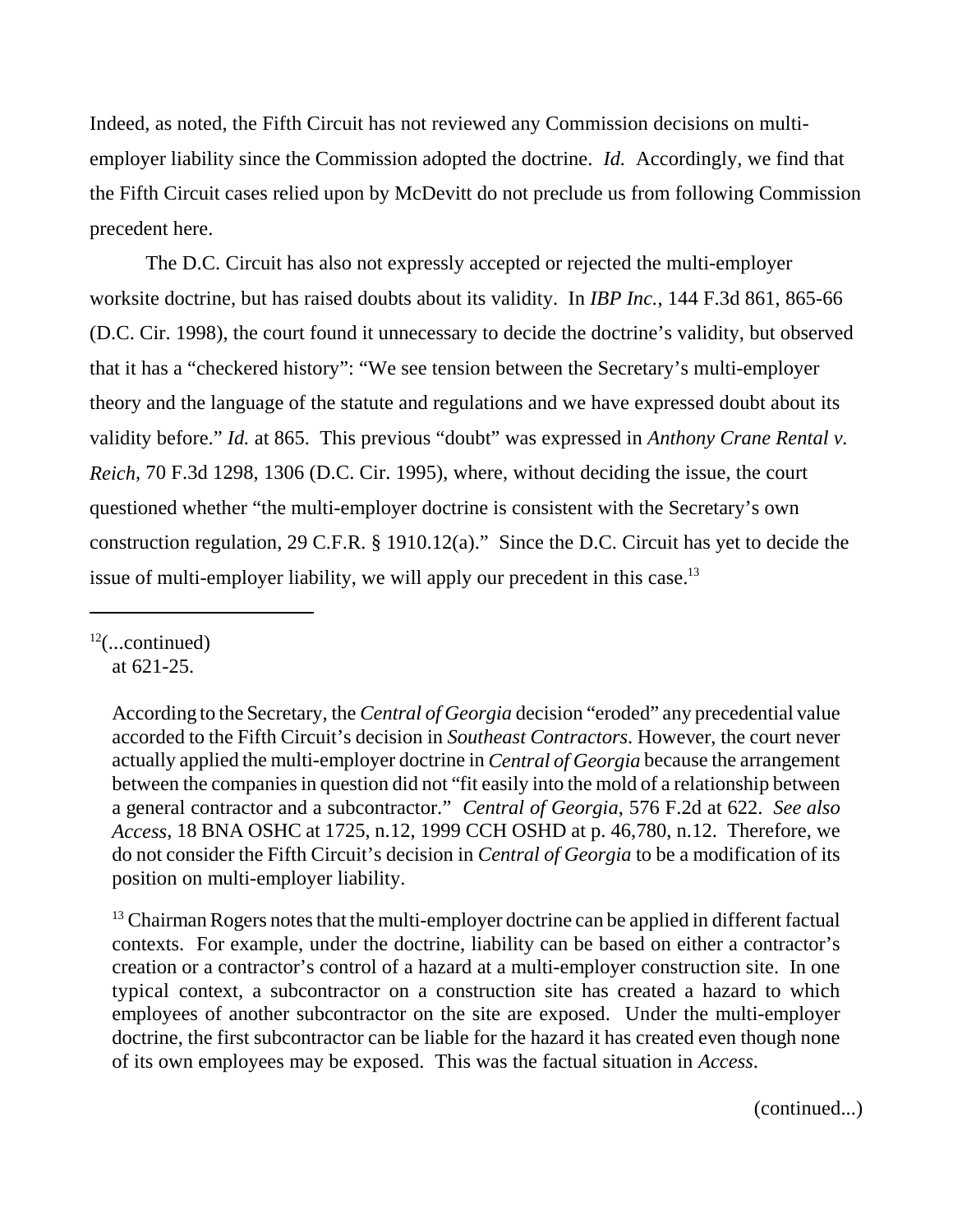Indeed, as noted, the Fifth Circuit has not reviewed any Commission decisions on multiemployer liability since the Commission adopted the doctrine. *Id.* Accordingly, we find that the Fifth Circuit cases relied upon by McDevitt do not preclude us from following Commission precedent here.

The D.C. Circuit has also not expressly accepted or rejected the multi-employer worksite doctrine, but has raised doubts about its validity. In *IBP Inc.*, 144 F.3d 861, 865-66 (D.C. Cir. 1998), the court found it unnecessary to decide the doctrine's validity, but observed that it has a "checkered history": "We see tension between the Secretary's multi-employer theory and the language of the statute and regulations and we have expressed doubt about its validity before." *Id.* at 865. This previous "doubt" was expressed in *Anthony Crane Rental v. Reich*, 70 F.3d 1298, 1306 (D.C. Cir. 1995), where, without deciding the issue, the court questioned whether "the multi-employer doctrine is consistent with the Secretary's own construction regulation, 29 C.F.R. § 1910.12(a)." Since the D.C. Circuit has yet to decide the issue of multi-employer liability, we will apply our precedent in this case.<sup>13</sup>

 $12$ (...continued) at 621-25.

> According to the Secretary, the *Central of Georgia* decision "eroded" any precedential value accorded to the Fifth Circuit's decision in *Southeast Contractors*. However, the court never actually applied the multi-employer doctrine in *Central of Georgia* because the arrangement between the companies in question did not "fit easily into the mold of a relationship between a general contractor and a subcontractor." *Central of Georgia*, 576 F.2d at 622. *See also Access*, 18 BNA OSHC at 1725, n.12, 1999 CCH OSHD at p. 46,780, n.12. Therefore, we do not consider the Fifth Circuit's decision in *Central of Georgia* to be a modification of its position on multi-employer liability.

> $13$  Chairman Rogers notes that the multi-employer doctrine can be applied in different factual contexts. For example, under the doctrine, liability can be based on either a contractor's creation or a contractor's control of a hazard at a multi-employer construction site. In one typical context, a subcontractor on a construction site has created a hazard to which employees of another subcontractor on the site are exposed. Under the multi-employer doctrine, the first subcontractor can be liable for the hazard it has created even though none of its own employees may be exposed. This was the factual situation in *Access*.

> > (continued...)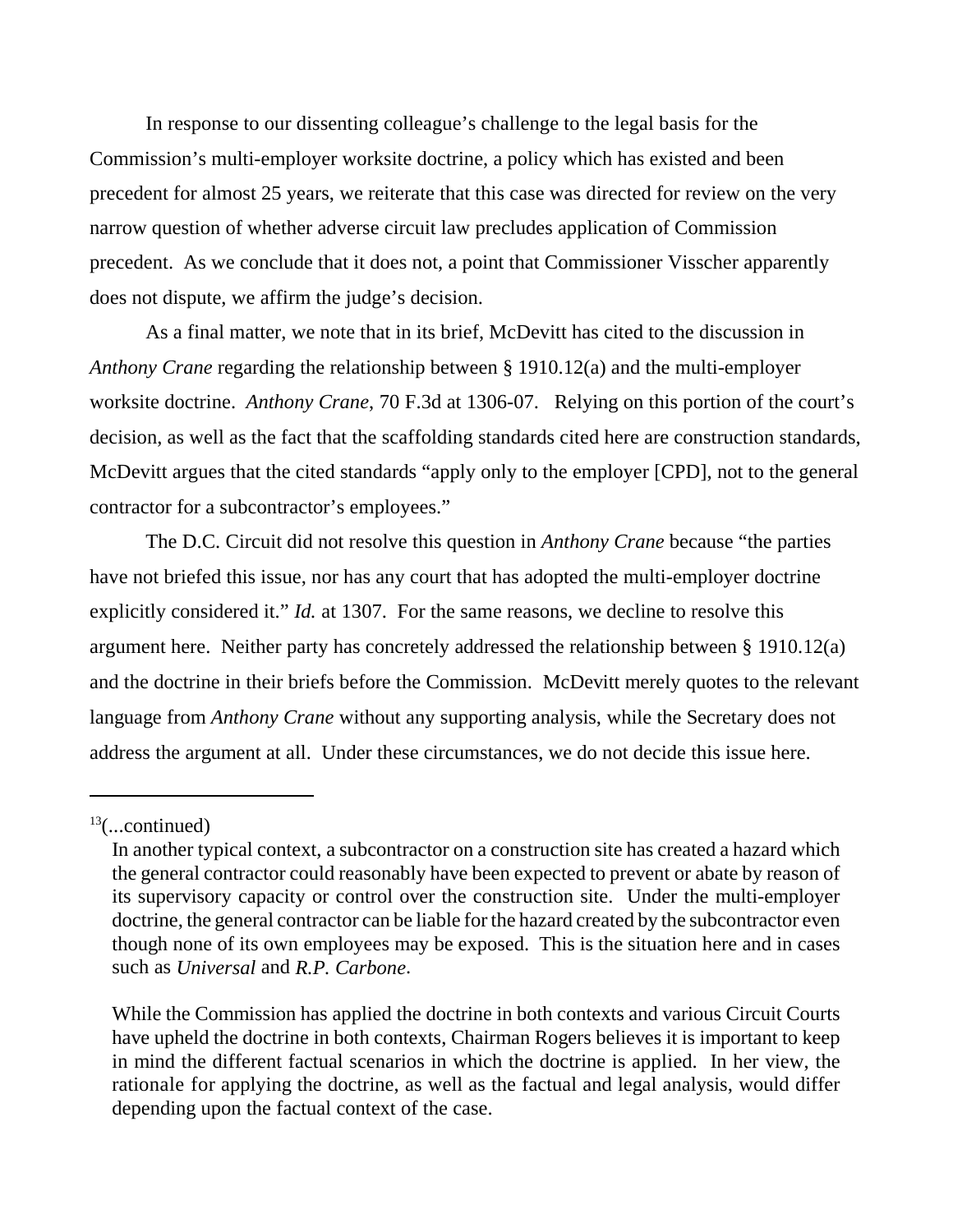In response to our dissenting colleague's challenge to the legal basis for the Commission's multi-employer worksite doctrine, a policy which has existed and been precedent for almost 25 years, we reiterate that this case was directed for review on the very narrow question of whether adverse circuit law precludes application of Commission precedent. As we conclude that it does not, a point that Commissioner Visscher apparently does not dispute, we affirm the judge's decision.

As a final matter, we note that in its brief, McDevitt has cited to the discussion in *Anthony Crane* regarding the relationship between § 1910.12(a) and the multi-employer worksite doctrine. *Anthony Crane*, 70 F.3d at 1306-07. Relying on this portion of the court's decision, as well as the fact that the scaffolding standards cited here are construction standards, McDevitt argues that the cited standards "apply only to the employer [CPD], not to the general contractor for a subcontractor's employees."

The D.C. Circuit did not resolve this question in *Anthony Crane* because "the parties have not briefed this issue, nor has any court that has adopted the multi-employer doctrine explicitly considered it." *Id.* at 1307. For the same reasons, we decline to resolve this argument here. Neither party has concretely addressed the relationship between § 1910.12(a) and the doctrine in their briefs before the Commission. McDevitt merely quotes to the relevant language from *Anthony Crane* without any supporting analysis, while the Secretary does not address the argument at all. Under these circumstances, we do not decide this issue here.

 $13$ (...continued)

In another typical context, a subcontractor on a construction site has created a hazard which the general contractor could reasonably have been expected to prevent or abate by reason of its supervisory capacity or control over the construction site. Under the multi-employer doctrine, the general contractor can be liable for the hazard created by the subcontractor even though none of its own employees may be exposed. This is the situation here and in cases such as *Universal* and *R.P. Carbone*.

While the Commission has applied the doctrine in both contexts and various Circuit Courts have upheld the doctrine in both contexts, Chairman Rogers believes it is important to keep in mind the different factual scenarios in which the doctrine is applied. In her view, the rationale for applying the doctrine, as well as the factual and legal analysis, would differ depending upon the factual context of the case.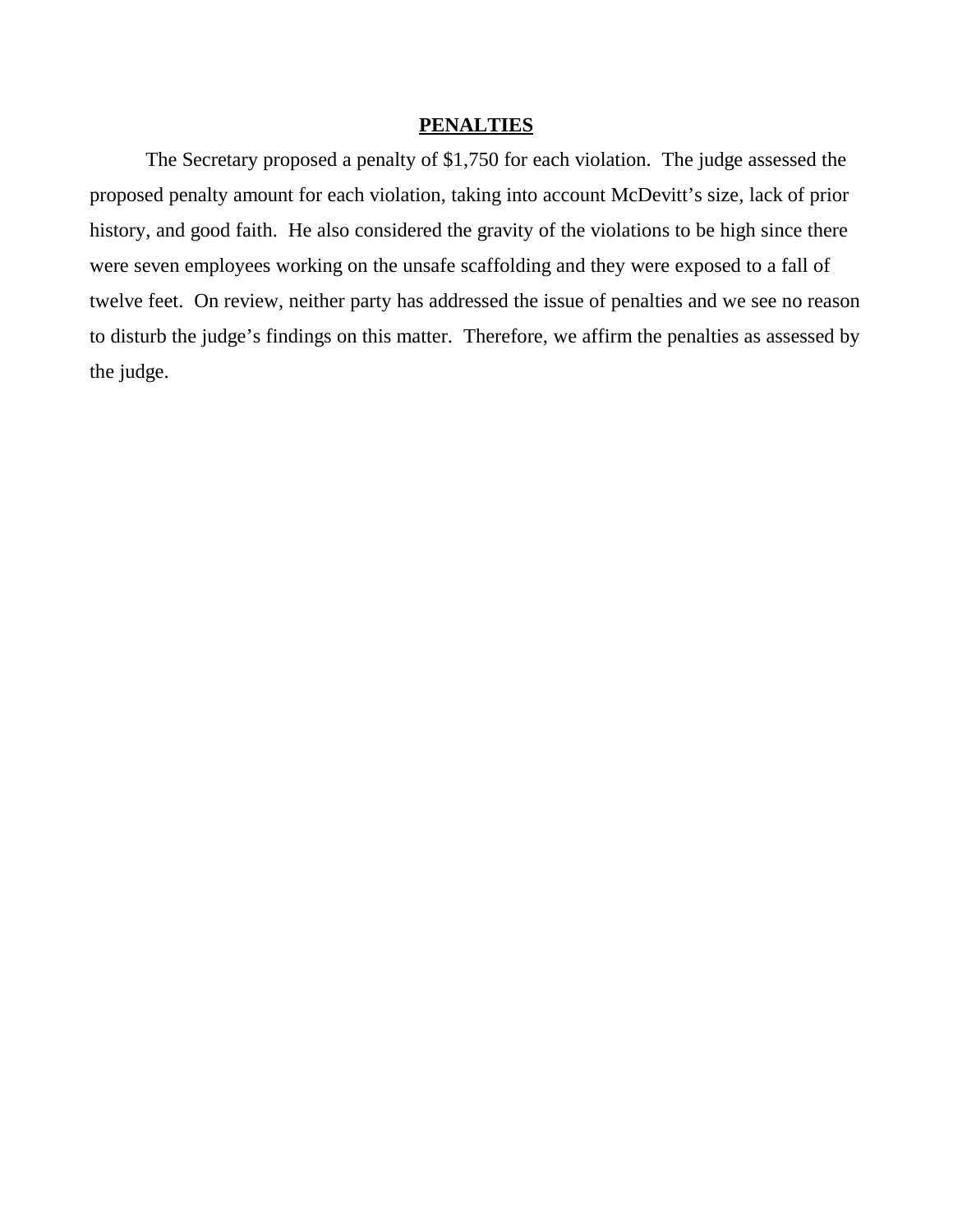# **PENALTIES**

The Secretary proposed a penalty of \$1,750 for each violation. The judge assessed the proposed penalty amount for each violation, taking into account McDevitt's size, lack of prior history, and good faith. He also considered the gravity of the violations to be high since there were seven employees working on the unsafe scaffolding and they were exposed to a fall of twelve feet. On review, neither party has addressed the issue of penalties and we see no reason to disturb the judge's findings on this matter. Therefore, we affirm the penalties as assessed by the judge.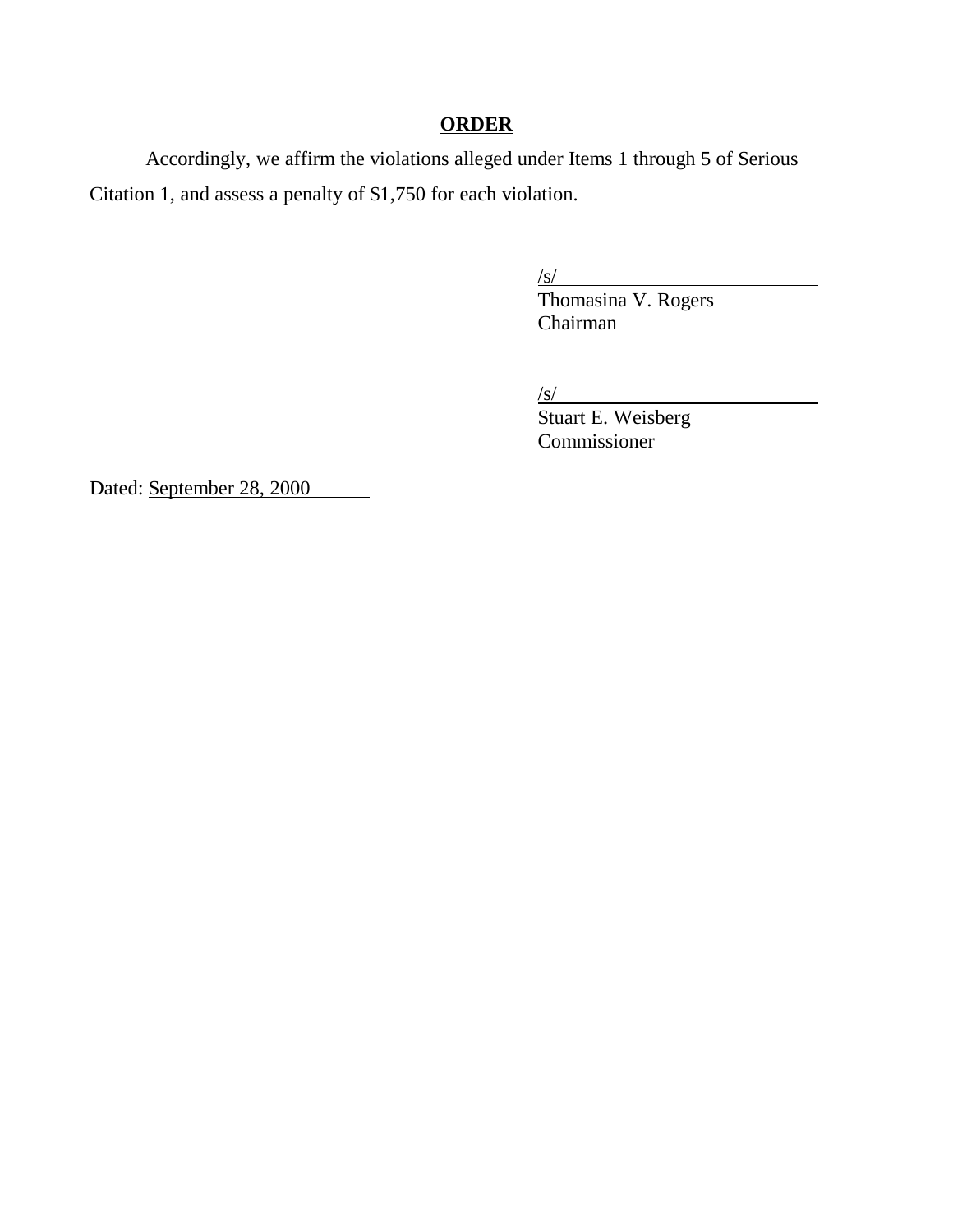# **ORDER**

Accordingly, we affirm the violations alleged under Items 1 through 5 of Serious Citation 1, and assess a penalty of \$1,750 for each violation.

/s/

Thomasina V. Rogers Chairman

/s/

Stuart E. Weisberg Commissioner

Dated: September 28, 2000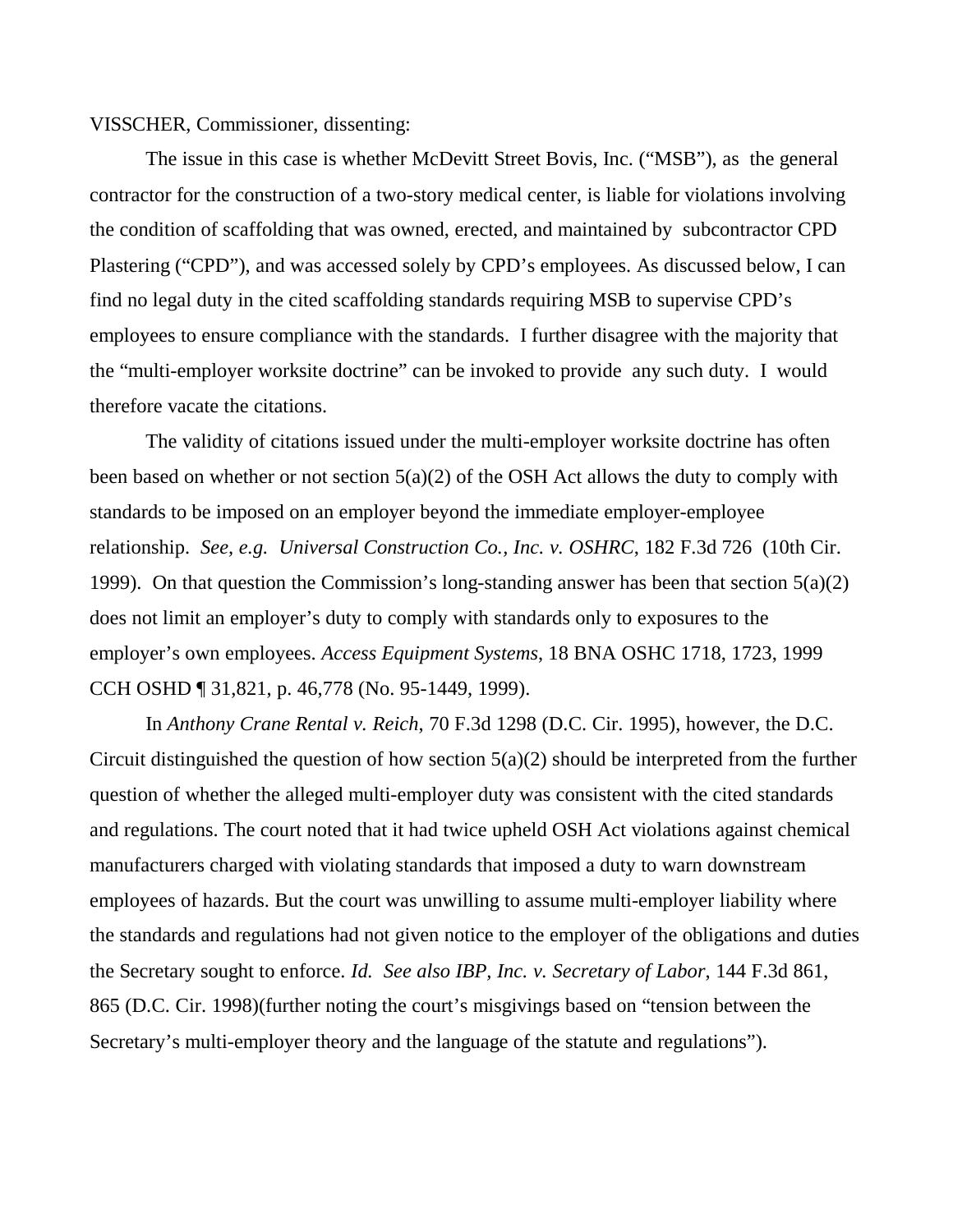VISSCHER, Commissioner, dissenting:

The issue in this case is whether McDevitt Street Bovis, Inc. ("MSB"), as the general contractor for the construction of a two-story medical center, is liable for violations involving the condition of scaffolding that was owned, erected, and maintained by subcontractor CPD Plastering ("CPD"), and was accessed solely by CPD's employees. As discussed below, I can find no legal duty in the cited scaffolding standards requiring MSB to supervise CPD's employees to ensure compliance with the standards. I further disagree with the majority that the "multi-employer worksite doctrine" can be invoked to provide any such duty. I would therefore vacate the citations.

The validity of citations issued under the multi-employer worksite doctrine has often been based on whether or not section  $5(a)(2)$  of the OSH Act allows the duty to comply with standards to be imposed on an employer beyond the immediate employer-employee relationship. *See, e.g. Universal Construction Co., Inc. v. OSHRC*, 182 F.3d 726 (10th Cir. 1999). On that question the Commission's long-standing answer has been that section 5(a)(2) does not limit an employer's duty to comply with standards only to exposures to the employer's own employees. *Access Equipment Systems*, 18 BNA OSHC 1718, 1723, 1999 CCH OSHD ¶ 31,821, p. 46,778 (No. 95-1449, 1999).

In *Anthony Crane Rental v. Reich*, 70 F.3d 1298 (D.C. Cir. 1995), however, the D.C. Circuit distinguished the question of how section  $5(a)(2)$  should be interpreted from the further question of whether the alleged multi-employer duty was consistent with the cited standards and regulations. The court noted that it had twice upheld OSH Act violations against chemical manufacturers charged with violating standards that imposed a duty to warn downstream employees of hazards. But the court was unwilling to assume multi-employer liability where the standards and regulations had not given notice to the employer of the obligations and duties the Secretary sought to enforce. *Id. See also IBP, Inc. v. Secretary of Labor*, 144 F.3d 861, 865 (D.C. Cir. 1998)(further noting the court's misgivings based on "tension between the Secretary's multi-employer theory and the language of the statute and regulations").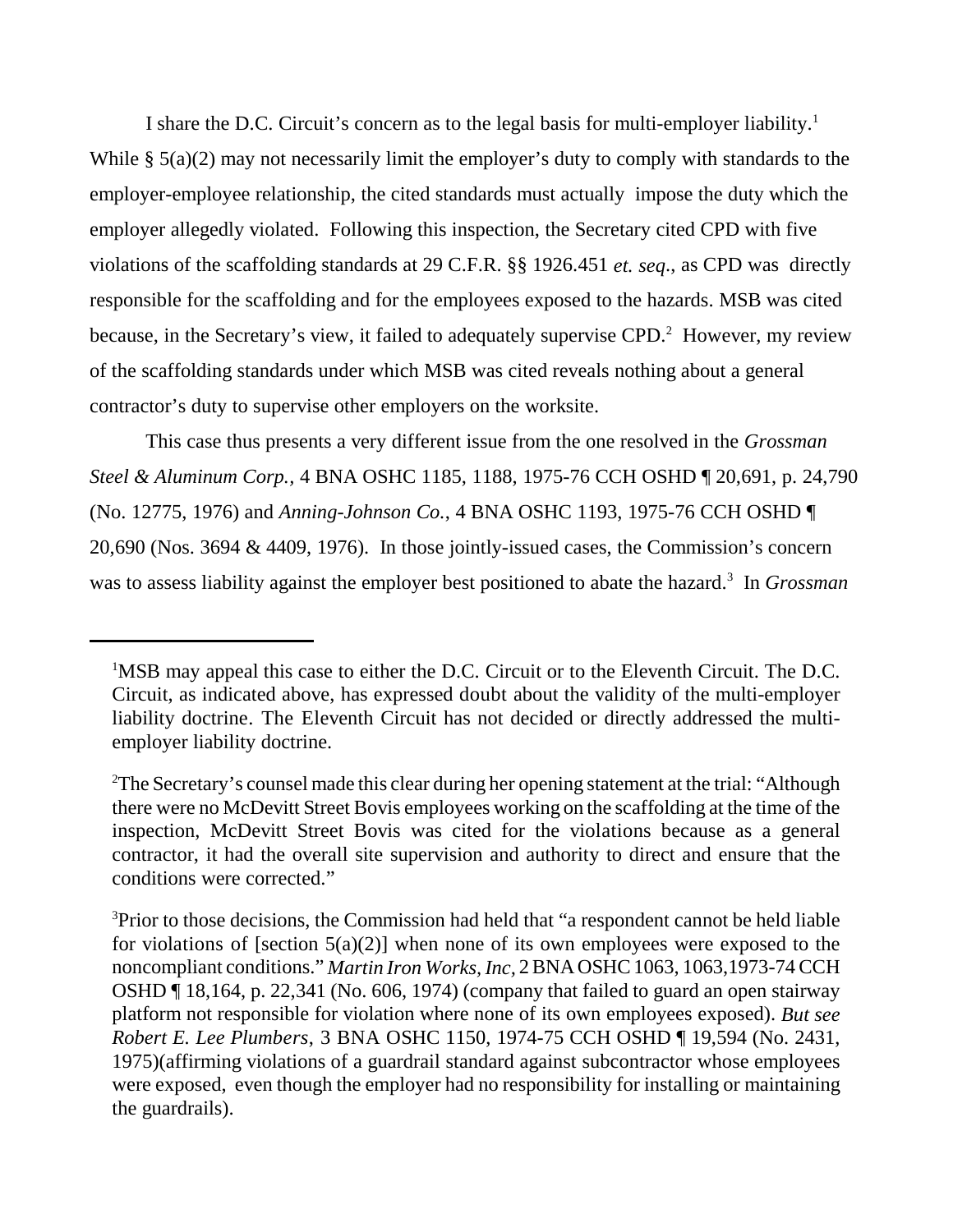I share the D.C. Circuit's concern as to the legal basis for multi-employer liability.<sup>1</sup> While  $\S$  5(a)(2) may not necessarily limit the employer's duty to comply with standards to the employer-employee relationship, the cited standards must actually impose the duty which the employer allegedly violated. Following this inspection, the Secretary cited CPD with five violations of the scaffolding standards at 29 C.F.R. §§ 1926.451 *et. seq*., as CPD was directly responsible for the scaffolding and for the employees exposed to the hazards. MSB was cited because, in the Secretary's view, it failed to adequately supervise CPD.<sup>2</sup> However, my review of the scaffolding standards under which MSB was cited reveals nothing about a general contractor's duty to supervise other employers on the worksite.

This case thus presents a very different issue from the one resolved in the *Grossman Steel & Aluminum Corp.,* 4 BNA OSHC 1185, 1188, 1975-76 CCH OSHD ¶ 20,691, p. 24,790 (No. 12775, 1976) and *Anning-Johnson Co.*, 4 BNA OSHC 1193, 1975-76 CCH OSHD ¶ 20,690 (Nos. 3694 & 4409, 1976). In those jointly-issued cases, the Commission's concern was to assess liability against the employer best positioned to abate the hazard.<sup>3</sup> In *Grossman* 

<sup>&</sup>lt;sup>1</sup>MSB may appeal this case to either the D.C. Circuit or to the Eleventh Circuit. The D.C. Circuit, as indicated above, has expressed doubt about the validity of the multi-employer liability doctrine. The Eleventh Circuit has not decided or directly addressed the multiemployer liability doctrine.

<sup>&</sup>lt;sup>2</sup>The Secretary's counsel made this clear during her opening statement at the trial: "Although there were no McDevitt Street Bovis employees working on the scaffolding at the time of the inspection, McDevitt Street Bovis was cited for the violations because as a general contractor, it had the overall site supervision and authority to direct and ensure that the conditions were corrected."

<sup>&</sup>lt;sup>3</sup>Prior to those decisions, the Commission had held that "a respondent cannot be held liable for violations of [section  $5(a)(2)$ ] when none of its own employees were exposed to the noncompliant conditions." *Martin Iron Works, Inc,* 2 BNA OSHC 1063, 1063,1973-74 CCH OSHD ¶ 18,164, p. 22,341 (No. 606, 1974) (company that failed to guard an open stairway platform not responsible for violation where none of its own employees exposed). *But see Robert E. Lee Plumbers*, 3 BNA OSHC 1150, 1974-75 CCH OSHD ¶ 19,594 (No. 2431, 1975)(affirming violations of a guardrail standard against subcontractor whose employees were exposed, even though the employer had no responsibility for installing or maintaining the guardrails).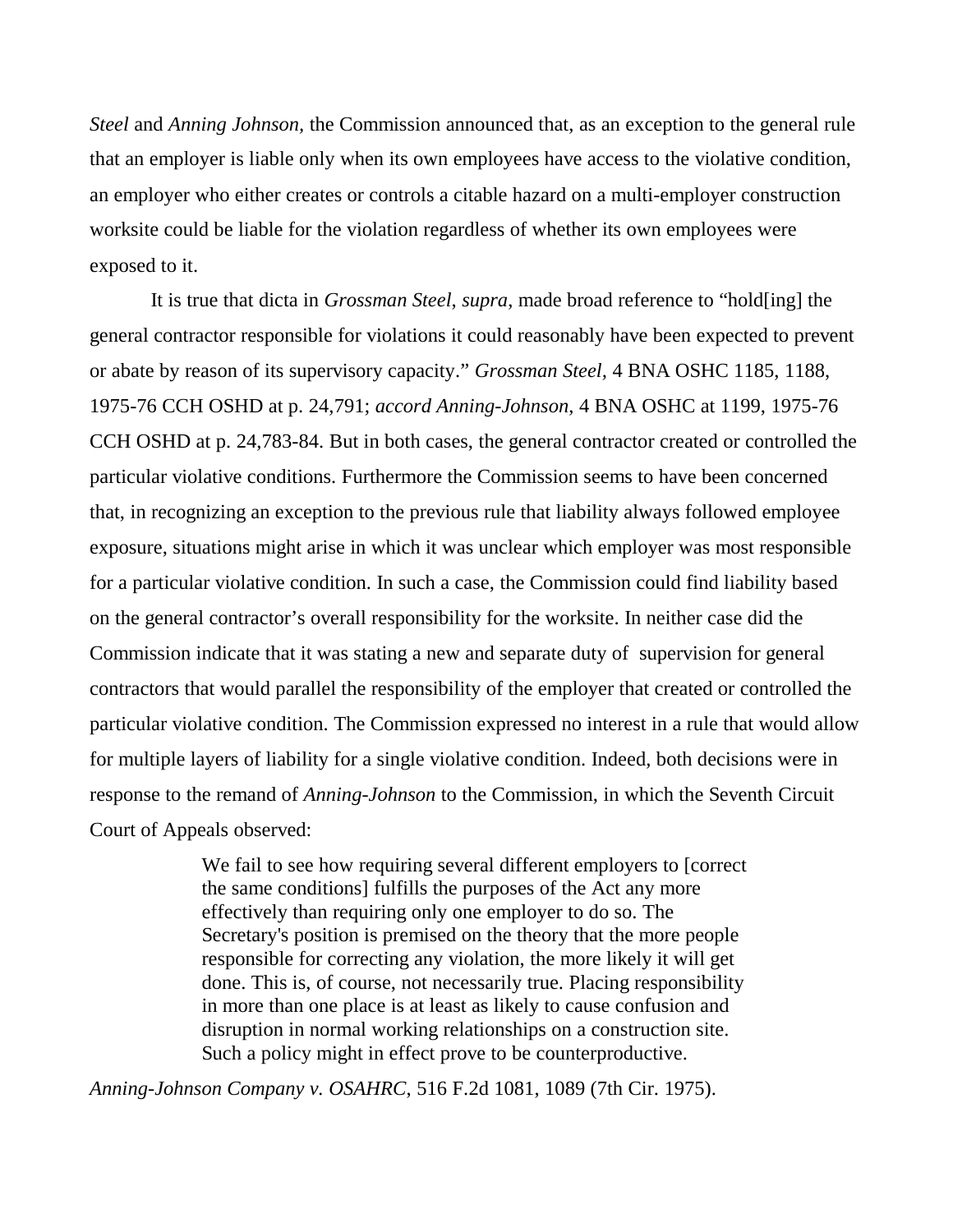*Steel* and *Anning Johnson,* the Commission announced that, as an exception to the general rule that an employer is liable only when its own employees have access to the violative condition, an employer who either creates or controls a citable hazard on a multi-employer construction worksite could be liable for the violation regardless of whether its own employees were exposed to it.

 It is true that dicta in *Grossman Steel*, *supra*, made broad reference to "hold[ing] the general contractor responsible for violations it could reasonably have been expected to prevent or abate by reason of its supervisory capacity." *Grossman Steel,* 4 BNA OSHC 1185, 1188, 1975-76 CCH OSHD at p. 24,791; *accord Anning-Johnson*, 4 BNA OSHC at 1199, 1975-76 CCH OSHD at p. 24,783-84. But in both cases, the general contractor created or controlled the particular violative conditions. Furthermore the Commission seems to have been concerned that, in recognizing an exception to the previous rule that liability always followed employee exposure, situations might arise in which it was unclear which employer was most responsible for a particular violative condition. In such a case, the Commission could find liability based on the general contractor's overall responsibility for the worksite. In neither case did the Commission indicate that it was stating a new and separate duty of supervision for general contractors that would parallel the responsibility of the employer that created or controlled the particular violative condition. The Commission expressed no interest in a rule that would allow for multiple layers of liability for a single violative condition. Indeed, both decisions were in response to the remand of *Anning-Johnson* to the Commission, in which the Seventh Circuit Court of Appeals observed:

> We fail to see how requiring several different employers to [correct the same conditions] fulfills the purposes of the Act any more effectively than requiring only one employer to do so. The Secretary's position is premised on the theory that the more people responsible for correcting any violation, the more likely it will get done. This is, of course, not necessarily true. Placing responsibility in more than one place is at least as likely to cause confusion and disruption in normal working relationships on a construction site. Such a policy might in effect prove to be counterproductive.

*Anning-Johnson Company v. OSAHRC*, 516 F.2d 1081, 1089 (7th Cir. 1975).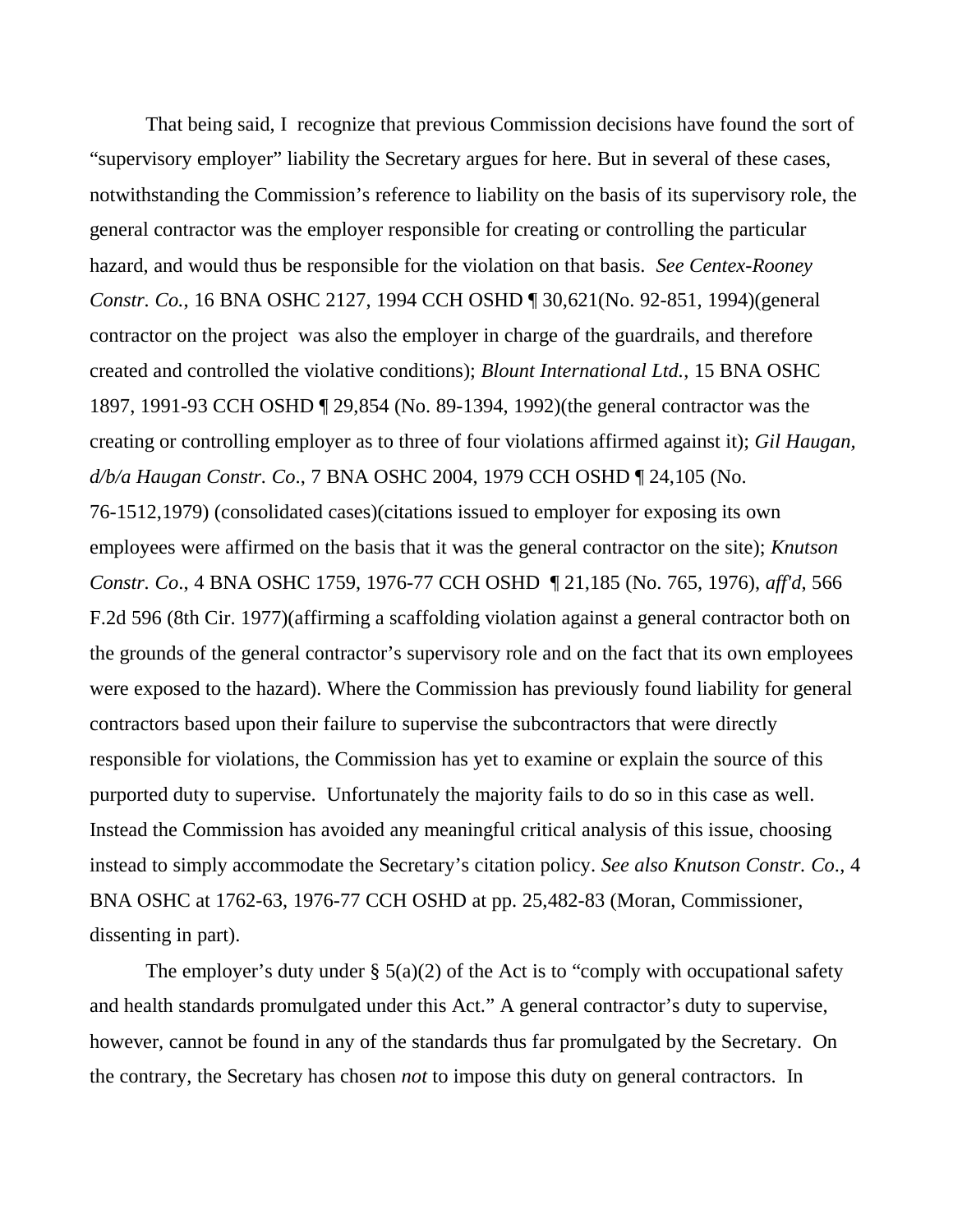That being said, I recognize that previous Commission decisions have found the sort of "supervisory employer" liability the Secretary argues for here. But in several of these cases, notwithstanding the Commission's reference to liability on the basis of its supervisory role, the general contractor was the employer responsible for creating or controlling the particular hazard, and would thus be responsible for the violation on that basis. *See Centex-Rooney Constr. Co.*, 16 BNA OSHC 2127, 1994 CCH OSHD ¶ 30,621(No. 92-851, 1994)(general contractor on the project was also the employer in charge of the guardrails, and therefore created and controlled the violative conditions); *Blount International Ltd.*, 15 BNA OSHC 1897, 1991-93 CCH OSHD ¶ 29,854 (No. 89-1394, 1992)(the general contractor was the creating or controlling employer as to three of four violations affirmed against it); *Gil Haugan, d/b/a Haugan Constr. Co*., 7 BNA OSHC 2004, 1979 CCH OSHD ¶ 24,105 (No. 76-1512,1979) (consolidated cases)(citations issued to employer for exposing its own employees were affirmed on the basis that it was the general contractor on the site); *Knutson Constr. Co*., 4 BNA OSHC 1759, 1976-77 CCH OSHD ¶ 21,185 (No. 765, 1976), *aff'd*, 566 F.2d 596 (8th Cir. 1977)(affirming a scaffolding violation against a general contractor both on the grounds of the general contractor's supervisory role and on the fact that its own employees were exposed to the hazard). Where the Commission has previously found liability for general contractors based upon their failure to supervise the subcontractors that were directly responsible for violations, the Commission has yet to examine or explain the source of this purported duty to supervise. Unfortunately the majority fails to do so in this case as well. Instead the Commission has avoided any meaningful critical analysis of this issue, choosing instead to simply accommodate the Secretary's citation policy. *See also Knutson Constr. Co*., 4 BNA OSHC at 1762-63, 1976-77 CCH OSHD at pp. 25,482-83 (Moran, Commissioner, dissenting in part).

The employer's duty under  $\S$  5(a)(2) of the Act is to "comply with occupational safety and health standards promulgated under this Act." A general contractor's duty to supervise, however, cannot be found in any of the standards thus far promulgated by the Secretary. On the contrary, the Secretary has chosen *not* to impose this duty on general contractors. In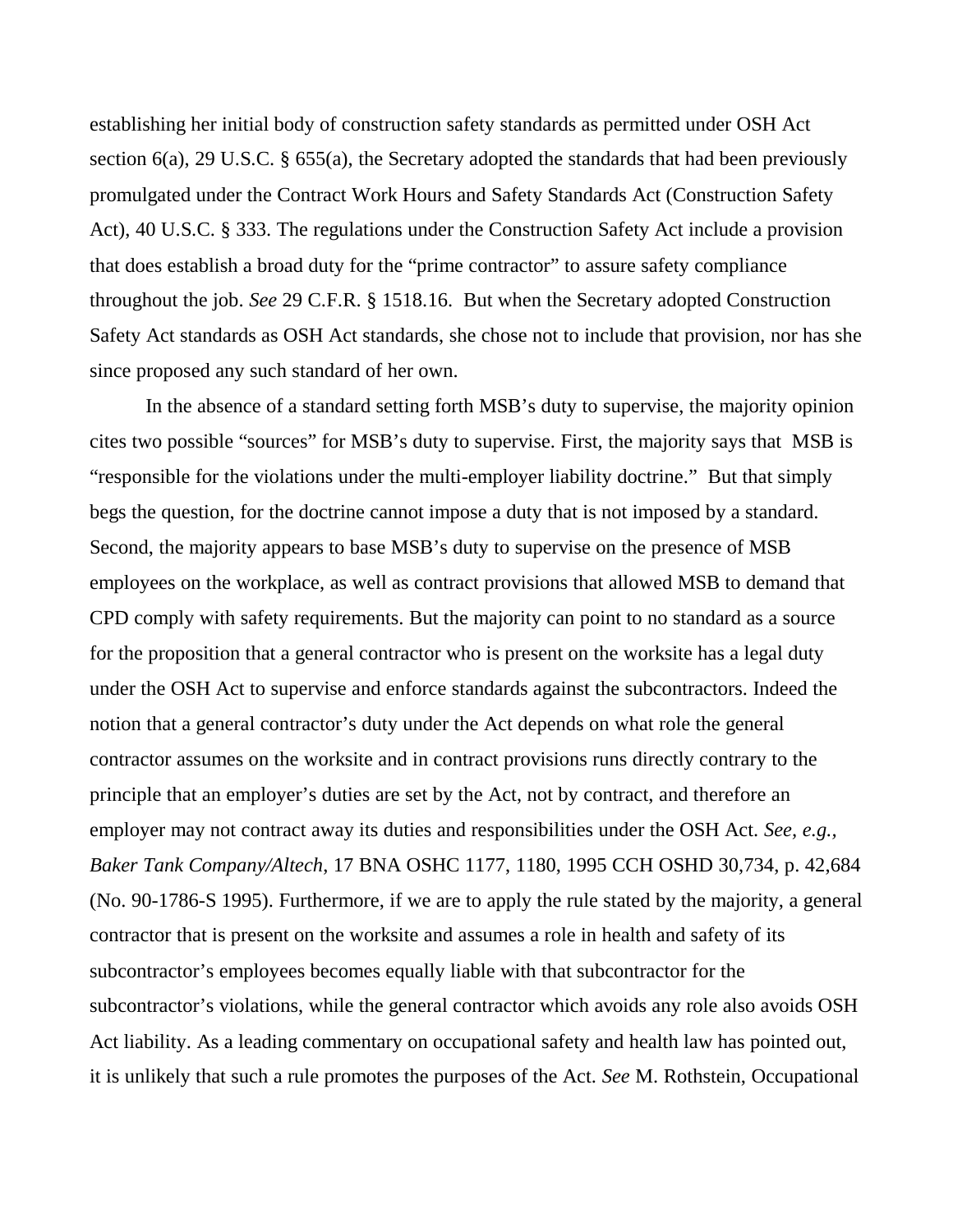establishing her initial body of construction safety standards as permitted under OSH Act section 6(a), 29 U.S.C. § 655(a), the Secretary adopted the standards that had been previously promulgated under the Contract Work Hours and Safety Standards Act (Construction Safety Act), 40 U.S.C. § 333. The regulations under the Construction Safety Act include a provision that does establish a broad duty for the "prime contractor" to assure safety compliance throughout the job. *See* 29 C.F.R. § 1518.16. But when the Secretary adopted Construction Safety Act standards as OSH Act standards, she chose not to include that provision, nor has she since proposed any such standard of her own.

In the absence of a standard setting forth MSB's duty to supervise, the majority opinion cites two possible "sources" for MSB's duty to supervise. First, the majority says that MSB is "responsible for the violations under the multi-employer liability doctrine." But that simply begs the question, for the doctrine cannot impose a duty that is not imposed by a standard. Second, the majority appears to base MSB's duty to supervise on the presence of MSB employees on the workplace, as well as contract provisions that allowed MSB to demand that CPD comply with safety requirements. But the majority can point to no standard as a source for the proposition that a general contractor who is present on the worksite has a legal duty under the OSH Act to supervise and enforce standards against the subcontractors. Indeed the notion that a general contractor's duty under the Act depends on what role the general contractor assumes on the worksite and in contract provisions runs directly contrary to the principle that an employer's duties are set by the Act, not by contract, and therefore an employer may not contract away its duties and responsibilities under the OSH Act. *See, e.g., Baker Tank Company/Altech*, 17 BNA OSHC 1177, 1180, 1995 CCH OSHD 30,734, p. 42,684 (No. 90-1786-S 1995). Furthermore, if we are to apply the rule stated by the majority, a general contractor that is present on the worksite and assumes a role in health and safety of its subcontractor's employees becomes equally liable with that subcontractor for the subcontractor's violations, while the general contractor which avoids any role also avoids OSH Act liability. As a leading commentary on occupational safety and health law has pointed out, it is unlikely that such a rule promotes the purposes of the Act. *See* M. Rothstein, Occupational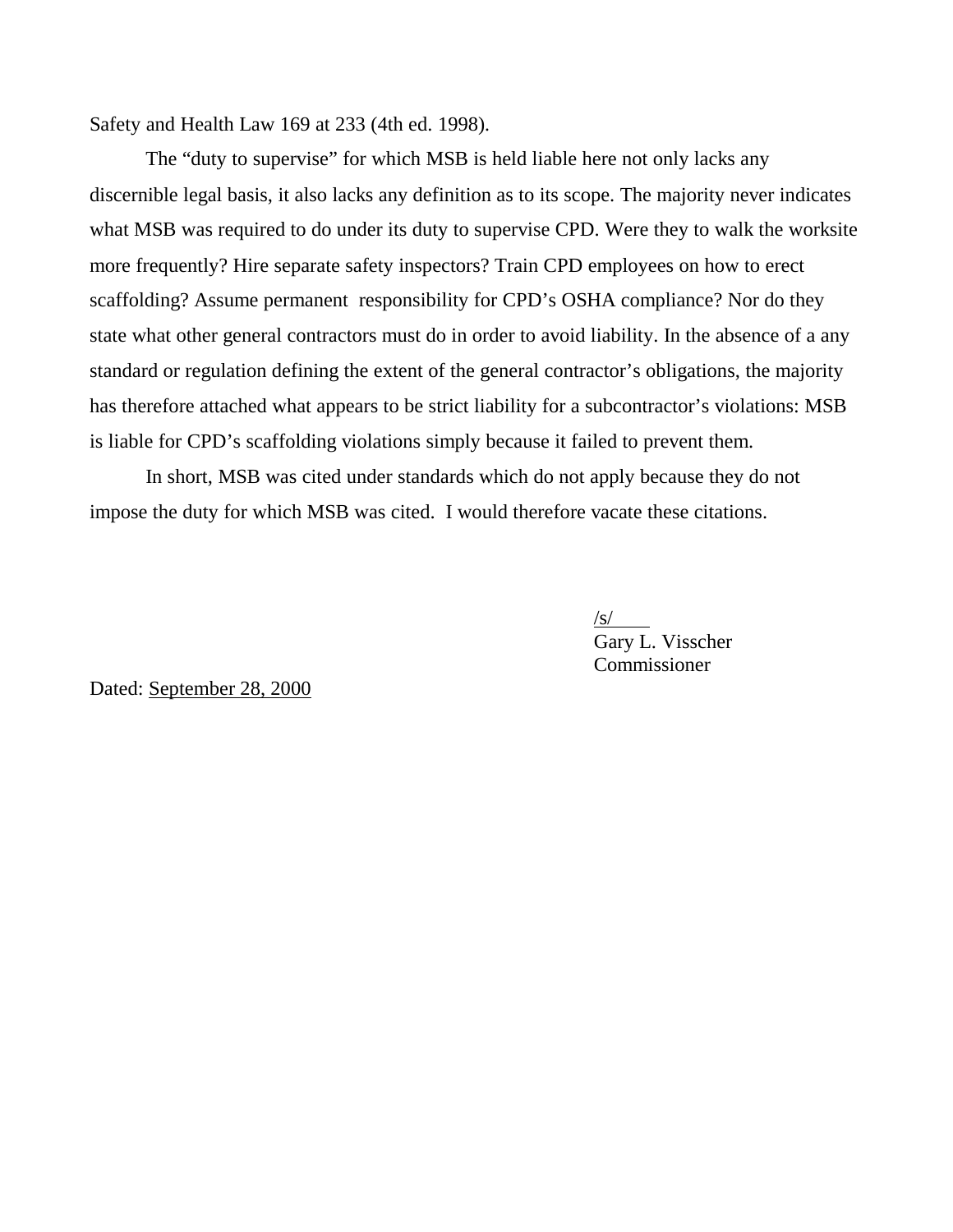Safety and Health Law 169 at 233 (4th ed. 1998)*.*

The "duty to supervise" for which MSB is held liable here not only lacks any discernible legal basis, it also lacks any definition as to its scope. The majority never indicates what MSB was required to do under its duty to supervise CPD. Were they to walk the worksite more frequently? Hire separate safety inspectors? Train CPD employees on how to erect scaffolding? Assume permanent responsibility for CPD's OSHA compliance? Nor do they state what other general contractors must do in order to avoid liability. In the absence of a any standard or regulation defining the extent of the general contractor's obligations, the majority has therefore attached what appears to be strict liability for a subcontractor's violations: MSB is liable for CPD's scaffolding violations simply because it failed to prevent them.

 In short, MSB was cited under standards which do not apply because they do not impose the duty for which MSB was cited. I would therefore vacate these citations.

> /s/ Gary L. Visscher Commissioner

Dated: September 28, 2000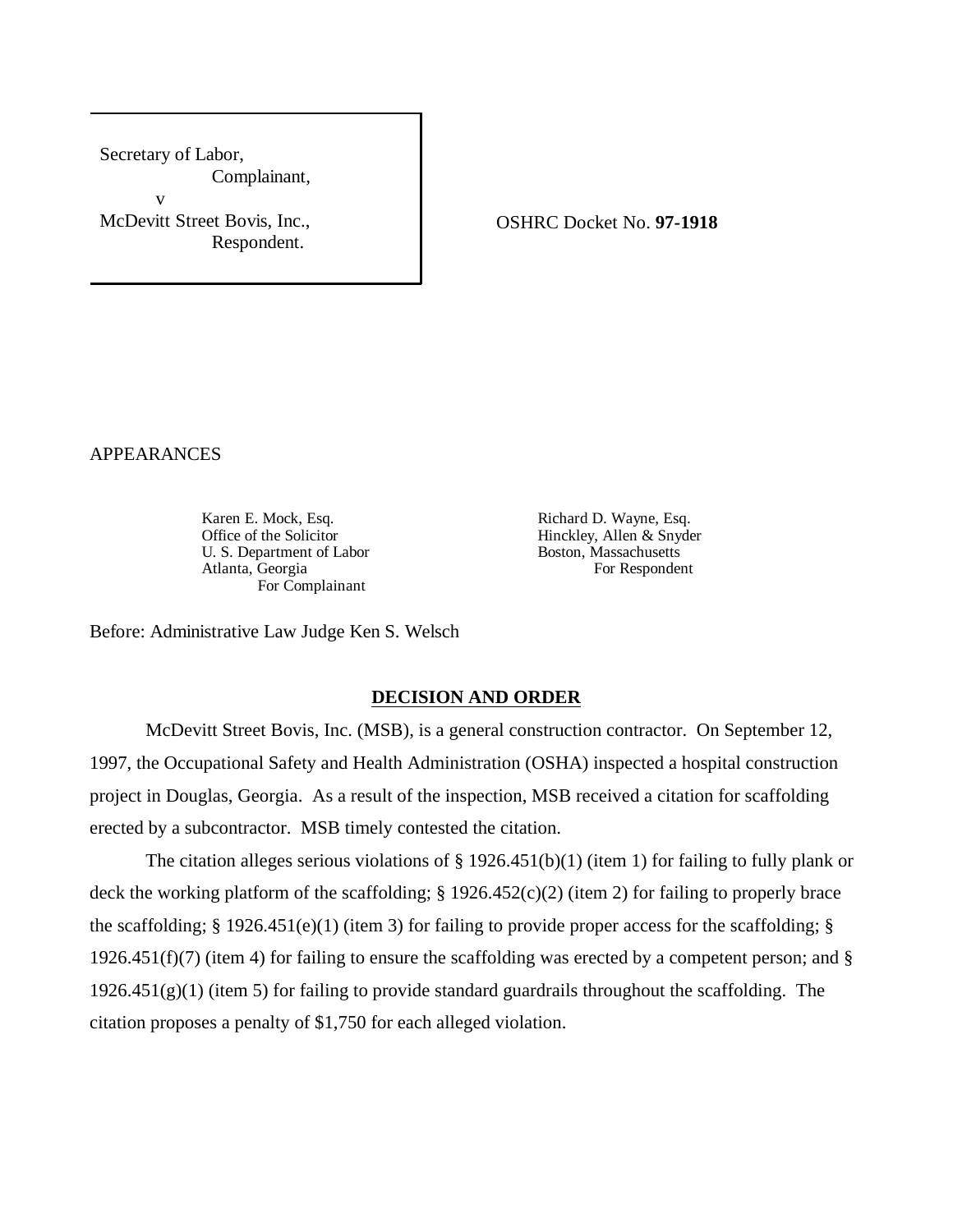Secretary of Labor, Complainant, v McDevitt Street Bovis, Inc., Respondent.

OSHRC Docket No. **97-1918**

APPEARANCES

Karen E. Mock, Esq. **Richard D. Wayne, Esq.** Office of the Solicitor **Hinckley, Allen & Snyder U.S.** Department of Labor **Hinckley, Allen & Snyder Boston, Massachusetts** U. S. Department of Labor Boston, Massachusetts<br>Atlanta, Georgia For Respondent Atlanta, Georgia For Complainant

Before: Administrative Law Judge Ken S. Welsch

#### **DECISION AND ORDER**

McDevitt Street Bovis, Inc. (MSB), is a general construction contractor. On September 12, 1997, the Occupational Safety and Health Administration (OSHA) inspected a hospital construction project in Douglas, Georgia. As a result of the inspection, MSB received a citation for scaffolding erected by a subcontractor. MSB timely contested the citation.

The citation alleges serious violations of § 1926.451(b)(1) (item 1) for failing to fully plank or deck the working platform of the scaffolding; § 1926.452(c)(2) (item 2) for failing to properly brace the scaffolding;  $\S$  1926.451(e)(1) (item 3) for failing to provide proper access for the scaffolding;  $\S$ 1926.451(f)(7) (item 4) for failing to ensure the scaffolding was erected by a competent person; and §  $1926.451(g)(1)$  (item 5) for failing to provide standard guardrails throughout the scaffolding. The citation proposes a penalty of \$1,750 for each alleged violation.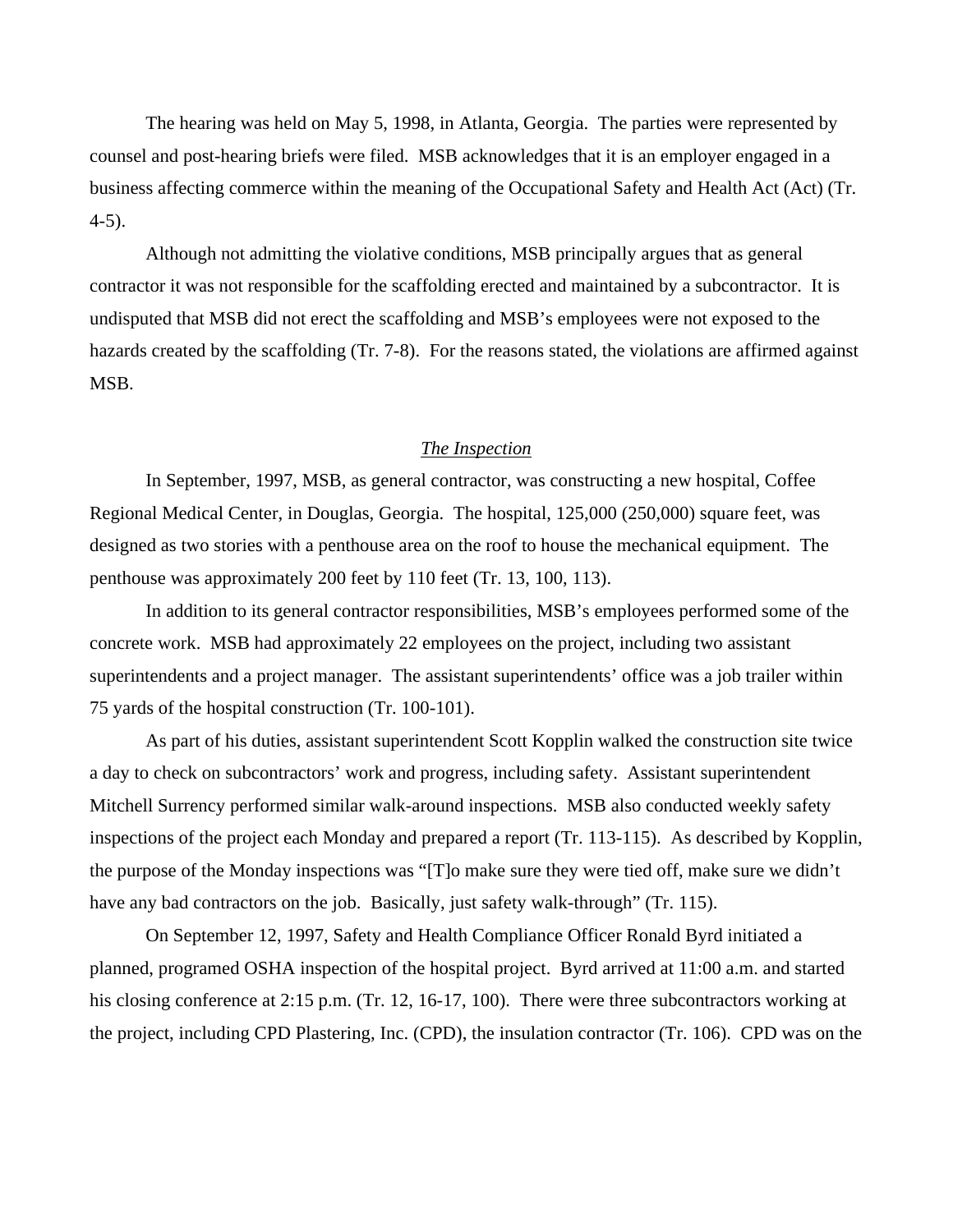The hearing was held on May 5, 1998, in Atlanta, Georgia. The parties were represented by counsel and post-hearing briefs were filed. MSB acknowledges that it is an employer engaged in a business affecting commerce within the meaning of the Occupational Safety and Health Act (Act) (Tr. 4-5).

Although not admitting the violative conditions, MSB principally argues that as general contractor it was not responsible for the scaffolding erected and maintained by a subcontractor. It is undisputed that MSB did not erect the scaffolding and MSB's employees were not exposed to the hazards created by the scaffolding (Tr. 7-8). For the reasons stated, the violations are affirmed against MSB.

## *The Inspection*

In September, 1997, MSB, as general contractor, was constructing a new hospital, Coffee Regional Medical Center, in Douglas, Georgia. The hospital, 125,000 (250,000) square feet, was designed as two stories with a penthouse area on the roof to house the mechanical equipment. The penthouse was approximately 200 feet by 110 feet (Tr. 13, 100, 113).

In addition to its general contractor responsibilities, MSB's employees performed some of the concrete work. MSB had approximately 22 employees on the project, including two assistant superintendents and a project manager. The assistant superintendents' office was a job trailer within 75 yards of the hospital construction (Tr. 100-101).

As part of his duties, assistant superintendent Scott Kopplin walked the construction site twice a day to check on subcontractors' work and progress, including safety. Assistant superintendent Mitchell Surrency performed similar walk-around inspections. MSB also conducted weekly safety inspections of the project each Monday and prepared a report (Tr. 113-115). As described by Kopplin, the purpose of the Monday inspections was "[T]o make sure they were tied off, make sure we didn't have any bad contractors on the job. Basically, just safety walk-through" (Tr. 115).

On September 12, 1997, Safety and Health Compliance Officer Ronald Byrd initiated a planned, programed OSHA inspection of the hospital project. Byrd arrived at 11:00 a.m. and started his closing conference at 2:15 p.m. (Tr. 12, 16-17, 100). There were three subcontractors working at the project, including CPD Plastering, Inc. (CPD), the insulation contractor (Tr. 106). CPD was on the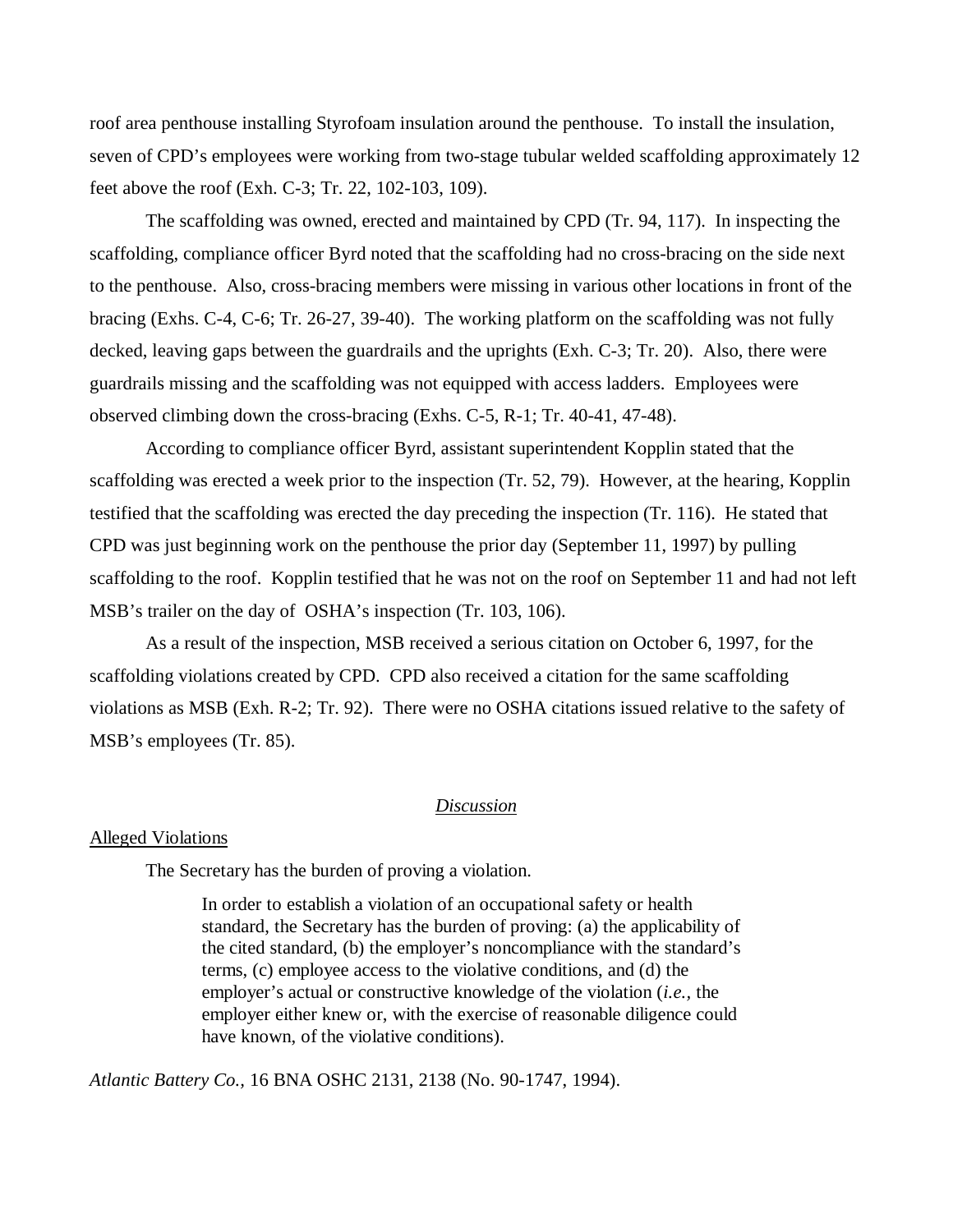roof area penthouse installing Styrofoam insulation around the penthouse. To install the insulation, seven of CPD's employees were working from two-stage tubular welded scaffolding approximately 12 feet above the roof (Exh. C-3; Tr. 22, 102-103, 109).

The scaffolding was owned, erected and maintained by CPD (Tr. 94, 117). In inspecting the scaffolding, compliance officer Byrd noted that the scaffolding had no cross-bracing on the side next to the penthouse. Also, cross-bracing members were missing in various other locations in front of the bracing (Exhs. C-4, C-6; Tr. 26-27, 39-40). The working platform on the scaffolding was not fully decked, leaving gaps between the guardrails and the uprights (Exh. C-3; Tr. 20). Also, there were guardrails missing and the scaffolding was not equipped with access ladders. Employees were observed climbing down the cross-bracing (Exhs. C-5, R-1; Tr. 40-41, 47-48).

According to compliance officer Byrd, assistant superintendent Kopplin stated that the scaffolding was erected a week prior to the inspection (Tr. 52, 79). However, at the hearing, Kopplin testified that the scaffolding was erected the day preceding the inspection (Tr. 116). He stated that CPD was just beginning work on the penthouse the prior day (September 11, 1997) by pulling scaffolding to the roof. Kopplin testified that he was not on the roof on September 11 and had not left MSB's trailer on the day of OSHA's inspection (Tr. 103, 106).

As a result of the inspection, MSB received a serious citation on October 6, 1997, for the scaffolding violations created by CPD. CPD also received a citation for the same scaffolding violations as MSB (Exh. R-2; Tr. 92). There were no OSHA citations issued relative to the safety of MSB's employees (Tr. 85).

## *Discussion*

#### Alleged Violations

The Secretary has the burden of proving a violation.

In order to establish a violation of an occupational safety or health standard, the Secretary has the burden of proving: (a) the applicability of the cited standard, (b) the employer's noncompliance with the standard's terms, (c) employee access to the violative conditions, and (d) the employer's actual or constructive knowledge of the violation (*i.e.,* the employer either knew or, with the exercise of reasonable diligence could have known, of the violative conditions).

*Atlantic Battery Co.,* 16 BNA OSHC 2131, 2138 (No. 90-1747, 1994).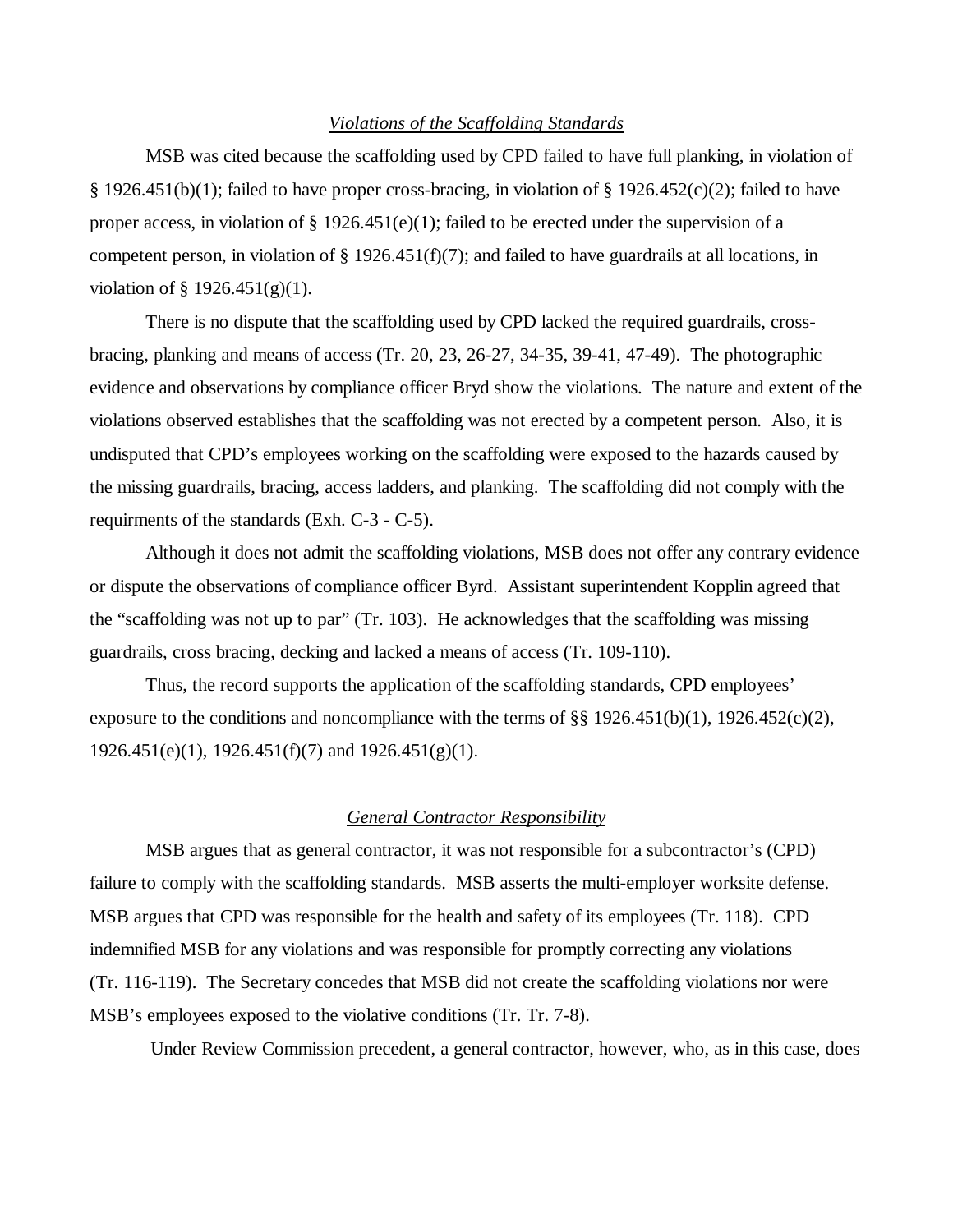#### *Violations of the Scaffolding Standards*

MSB was cited because the scaffolding used by CPD failed to have full planking, in violation of § 1926.451(b)(1); failed to have proper cross-bracing, in violation of § 1926.452(c)(2); failed to have proper access, in violation of  $\S 1926.451(e)(1)$ ; failed to be erected under the supervision of a competent person, in violation of § 1926.451(f)(7); and failed to have guardrails at all locations, in violation of  $\S$  1926.451(g)(1).

There is no dispute that the scaffolding used by CPD lacked the required guardrails, crossbracing, planking and means of access (Tr. 20, 23, 26-27, 34-35, 39-41, 47-49). The photographic evidence and observations by compliance officer Bryd show the violations. The nature and extent of the violations observed establishes that the scaffolding was not erected by a competent person. Also, it is undisputed that CPD's employees working on the scaffolding were exposed to the hazards caused by the missing guardrails, bracing, access ladders, and planking. The scaffolding did not comply with the requirments of the standards (Exh. C-3 - C-5).

Although it does not admit the scaffolding violations, MSB does not offer any contrary evidence or dispute the observations of compliance officer Byrd. Assistant superintendent Kopplin agreed that the "scaffolding was not up to par" (Tr. 103). He acknowledges that the scaffolding was missing guardrails, cross bracing, decking and lacked a means of access (Tr. 109-110).

Thus, the record supports the application of the scaffolding standards, CPD employees' exposure to the conditions and noncompliance with the terms of §§ 1926.451(b)(1), 1926.452(c)(2),  $1926.451(e)(1)$ ,  $1926.451(f)(7)$  and  $1926.451(g)(1)$ .

#### *General Contractor Responsibility*

MSB argues that as general contractor, it was not responsible for a subcontractor's (CPD) failure to comply with the scaffolding standards. MSB asserts the multi-employer worksite defense. MSB argues that CPD was responsible for the health and safety of its employees (Tr. 118). CPD indemnified MSB for any violations and was responsible for promptly correcting any violations (Tr. 116-119). The Secretary concedes that MSB did not create the scaffolding violations nor were MSB's employees exposed to the violative conditions (Tr. Tr. 7-8).

Under Review Commission precedent, a general contractor, however, who, as in this case, does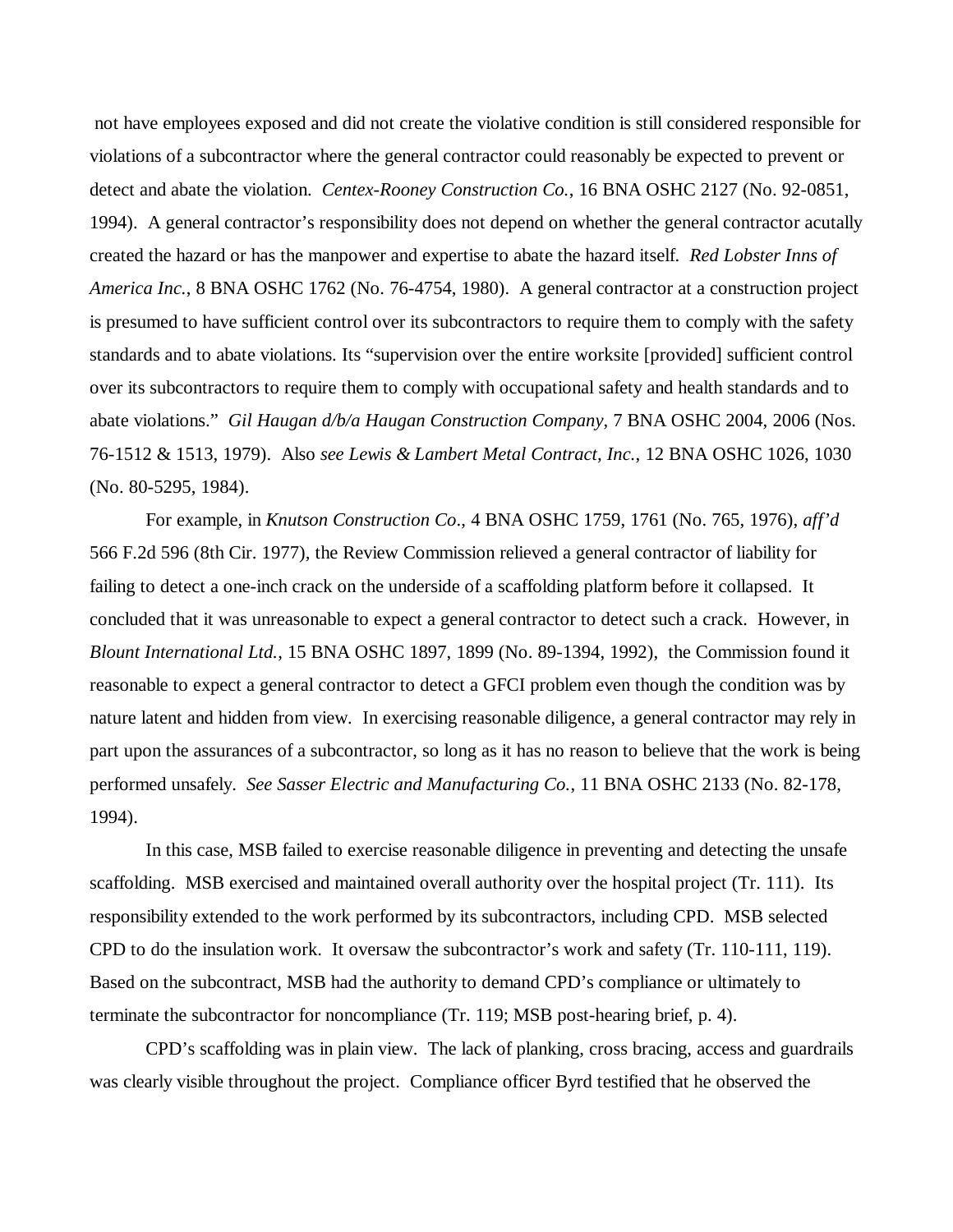not have employees exposed and did not create the violative condition is still considered responsible for violations of a subcontractor where the general contractor could reasonably be expected to prevent or detect and abate the violation. *Centex-Rooney Construction Co.*, 16 BNA OSHC 2127 (No. 92-0851, 1994). A general contractor's responsibility does not depend on whether the general contractor acutally created the hazard or has the manpower and expertise to abate the hazard itself. *Red Lobster Inns of America Inc.*, 8 BNA OSHC 1762 (No. 76-4754, 1980). A general contractor at a construction project is presumed to have sufficient control over its subcontractors to require them to comply with the safety standards and to abate violations. Its "supervision over the entire worksite [provided] sufficient control over its subcontractors to require them to comply with occupational safety and health standards and to abate violations." *Gil Haugan d/b/a Haugan Construction Company*, 7 BNA OSHC 2004, 2006 (Nos. 76-1512 & 1513, 1979). Also *see Lewis & Lambert Metal Contract, Inc.*, 12 BNA OSHC 1026, 1030 (No. 80-5295, 1984).

For example, in *Knutson Construction Co*., 4 BNA OSHC 1759, 1761 (No. 765, 1976), *aff'd* 566 F.2d 596 (8th Cir. 1977)*,* the Review Commission relieved a general contractor of liability for failing to detect a one-inch crack on the underside of a scaffolding platform before it collapsed. It concluded that it was unreasonable to expect a general contractor to detect such a crack. However, in *Blount International Ltd.*, 15 BNA OSHC 1897, 1899 (No. 89-1394, 1992), the Commission found it reasonable to expect a general contractor to detect a GFCI problem even though the condition was by nature latent and hidden from view*.* In exercising reasonable diligence, a general contractor may rely in part upon the assurances of a subcontractor, so long as it has no reason to believe that the work is being performed unsafely. *See Sasser Electric and Manufacturing Co.*, 11 BNA OSHC 2133 (No. 82-178, 1994).

In this case, MSB failed to exercise reasonable diligence in preventing and detecting the unsafe scaffolding. MSB exercised and maintained overall authority over the hospital project (Tr. 111). Its responsibility extended to the work performed by its subcontractors, including CPD. MSB selected CPD to do the insulation work. It oversaw the subcontractor's work and safety (Tr. 110-111, 119). Based on the subcontract, MSB had the authority to demand CPD's compliance or ultimately to terminate the subcontractor for noncompliance (Tr. 119; MSB post-hearing brief, p. 4).

CPD's scaffolding was in plain view. The lack of planking, cross bracing, access and guardrails was clearly visible throughout the project. Compliance officer Byrd testified that he observed the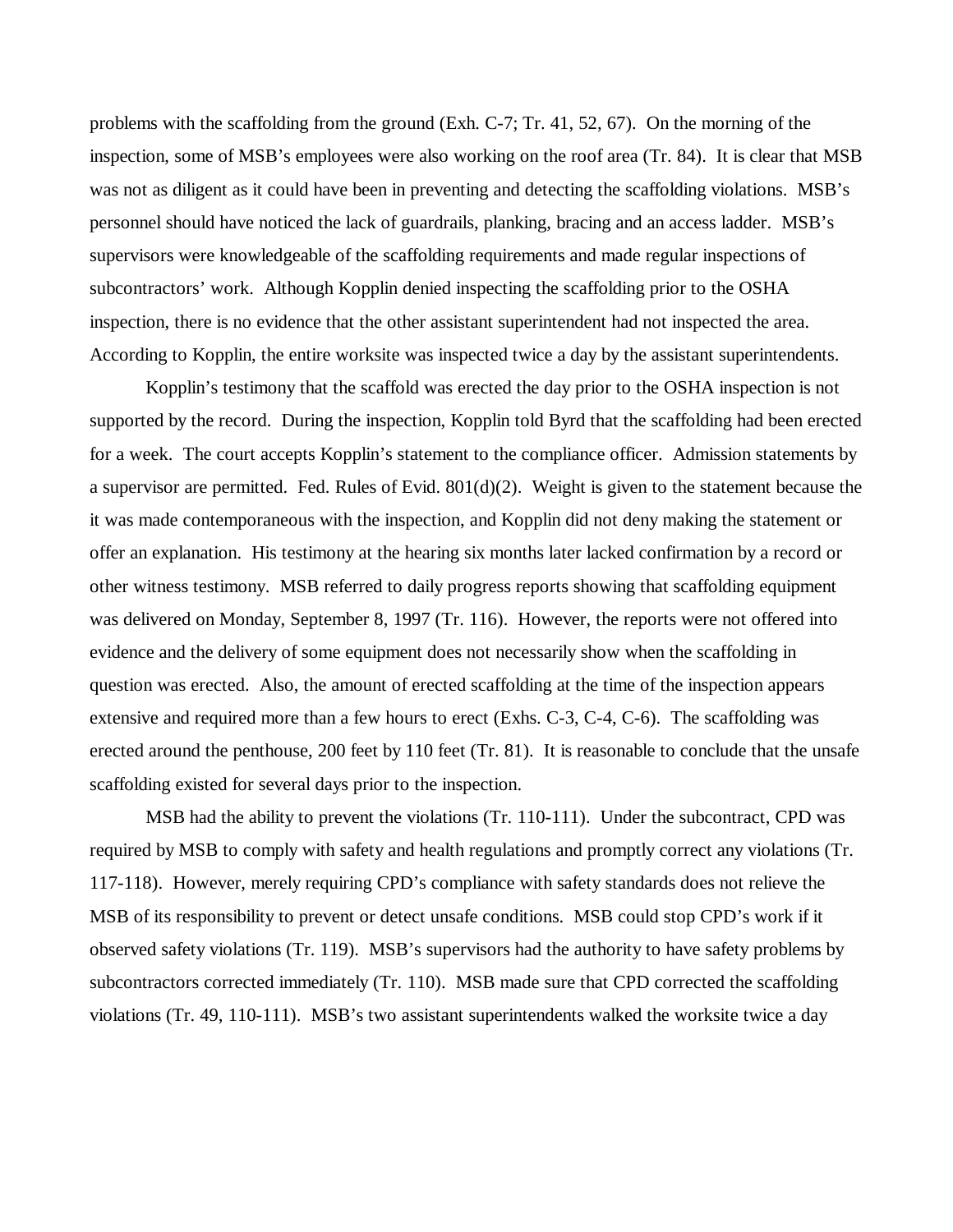problems with the scaffolding from the ground (Exh. C-7; Tr. 41, 52, 67). On the morning of the inspection, some of MSB's employees were also working on the roof area (Tr. 84). It is clear that MSB was not as diligent as it could have been in preventing and detecting the scaffolding violations. MSB's personnel should have noticed the lack of guardrails, planking, bracing and an access ladder. MSB's supervisors were knowledgeable of the scaffolding requirements and made regular inspections of subcontractors' work. Although Kopplin denied inspecting the scaffolding prior to the OSHA inspection, there is no evidence that the other assistant superintendent had not inspected the area. According to Kopplin, the entire worksite was inspected twice a day by the assistant superintendents.

Kopplin's testimony that the scaffold was erected the day prior to the OSHA inspection is not supported by the record. During the inspection, Kopplin told Byrd that the scaffolding had been erected for a week. The court accepts Kopplin's statement to the compliance officer. Admission statements by a supervisor are permitted. Fed. Rules of Evid. 801(d)(2). Weight is given to the statement because the it was made contemporaneous with the inspection, and Kopplin did not deny making the statement or offer an explanation. His testimony at the hearing six months later lacked confirmation by a record or other witness testimony. MSB referred to daily progress reports showing that scaffolding equipment was delivered on Monday, September 8, 1997 (Tr. 116). However, the reports were not offered into evidence and the delivery of some equipment does not necessarily show when the scaffolding in question was erected. Also, the amount of erected scaffolding at the time of the inspection appears extensive and required more than a few hours to erect (Exhs. C-3, C-4, C-6). The scaffolding was erected around the penthouse, 200 feet by 110 feet (Tr. 81). It is reasonable to conclude that the unsafe scaffolding existed for several days prior to the inspection.

MSB had the ability to prevent the violations (Tr. 110-111). Under the subcontract, CPD was required by MSB to comply with safety and health regulations and promptly correct any violations (Tr. 117-118). However, merely requiring CPD's compliance with safety standards does not relieve the MSB of its responsibility to prevent or detect unsafe conditions. MSB could stop CPD's work if it observed safety violations (Tr. 119). MSB's supervisors had the authority to have safety problems by subcontractors corrected immediately (Tr. 110). MSB made sure that CPD corrected the scaffolding violations (Tr. 49, 110-111). MSB's two assistant superintendents walked the worksite twice a day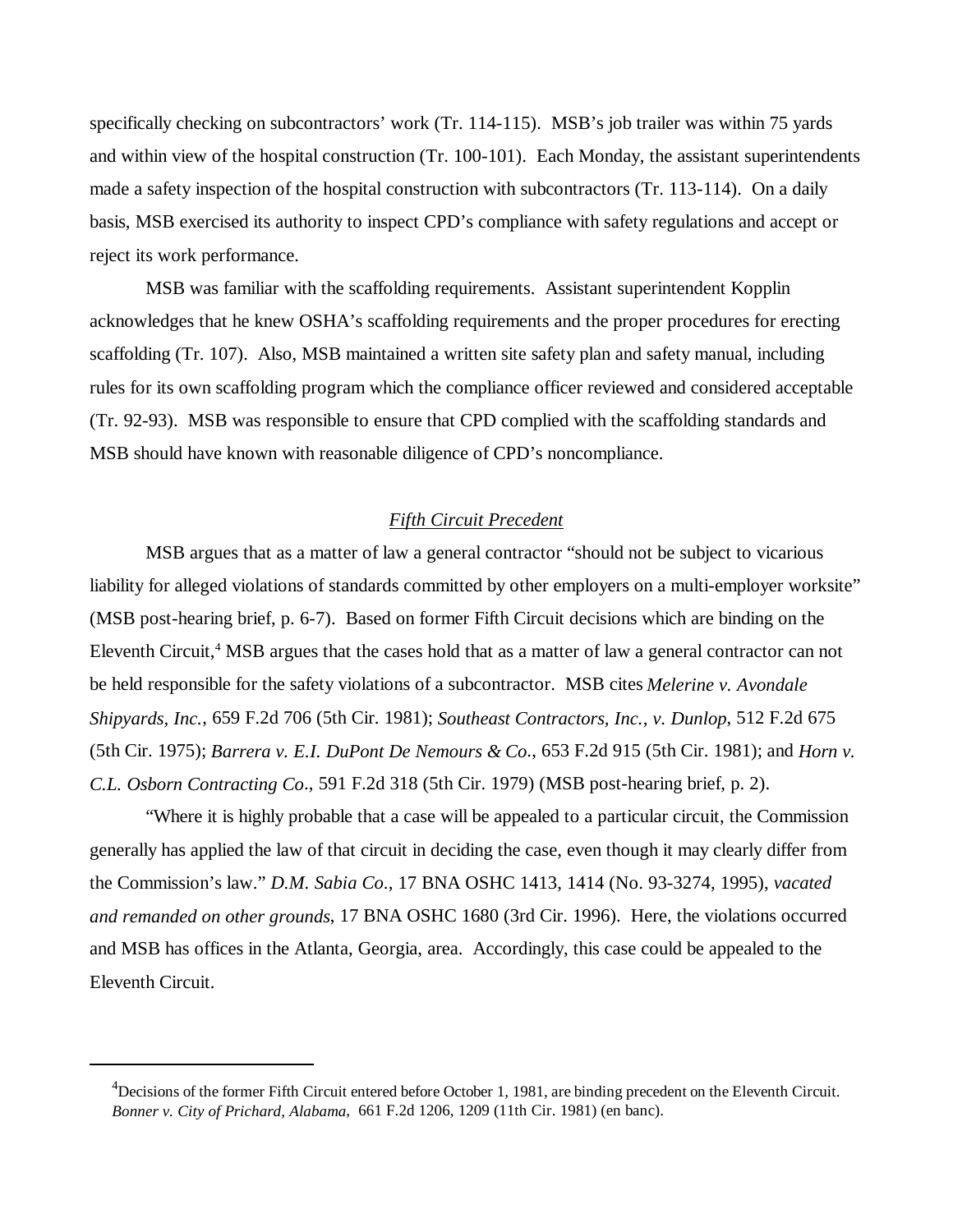specifically checking on subcontractors' work (Tr. 114-115). MSB's job trailer was within 75 yards and within view of the hospital construction (Tr. 100-101). Each Monday, the assistant superintendents made a safety inspection of the hospital construction with subcontractors (Tr. 113-114). On a daily basis, MSB exercised its authority to inspect CPD's compliance with safety regulations and accept or reject its work performance.

MSB was familiar with the scaffolding requirements. Assistant superintendent Kopplin acknowledges that he knew OSHA's scaffolding requirements and the proper procedures for erecting scaffolding (Tr. 107). Also, MSB maintained a written site safety plan and safety manual, including rules for its own scaffolding program which the compliance officer reviewed and considered acceptable (Tr. 92-93). MSB was responsible to ensure that CPD complied with the scaffolding standards and MSB should have known with reasonable diligence of CPD's noncompliance.

### *Fifth Circuit Precedent*

MSB argues that as a matter of law a general contractor "should not be subject to vicarious liability for alleged violations of standards committed by other employers on a multi-employer worksite" (MSB post-hearing brief, p. 6-7). Based on former Fifth Circuit decisions which are binding on the Eleventh Circuit,<sup>4</sup> MSB argues that the cases hold that as a matter of law a general contractor can not be held responsible for the safety violations of a subcontractor. MSB cites *Melerine v. Avondale Shipyards, Inc.*, 659 F.2d 706 (5th Cir. 1981); *Southeast Contractors, Inc., v. Dunlop*, 512 F.2d 675 (5th Cir. 1975); *Barrera v. E.I. DuPont De Nemours & Co*., 653 F.2d 915 (5th Cir. 1981); and *Horn v. C.L. Osborn Contracting Co*., 591 F.2d 318 (5th Cir. 1979) (MSB post-hearing brief, p. 2).

"Where it is highly probable that a case will be appealed to a particular circuit, the Commission generally has applied the law of that circuit in deciding the case, even though it may clearly differ from the Commission's law." *D.M. Sabia Co*., 17 BNA OSHC 1413, 1414 (No. 93-3274, 1995), *vacated and remanded on other grounds*, 17 BNA OSHC 1680 (3rd Cir. 1996). Here, the violations occurred and MSB has offices in the Atlanta, Georgia, area. Accordingly, this case could be appealed to the Eleventh Circuit.

 $^{4}$ Decisions of the former Fifth Circuit entered before October 1, 1981, are binding precedent on the Eleventh Circuit. *Bonner v. City of Prichard, Alabama*, 661 F.2d 1206, 1209 (11th Cir. 1981) (en banc).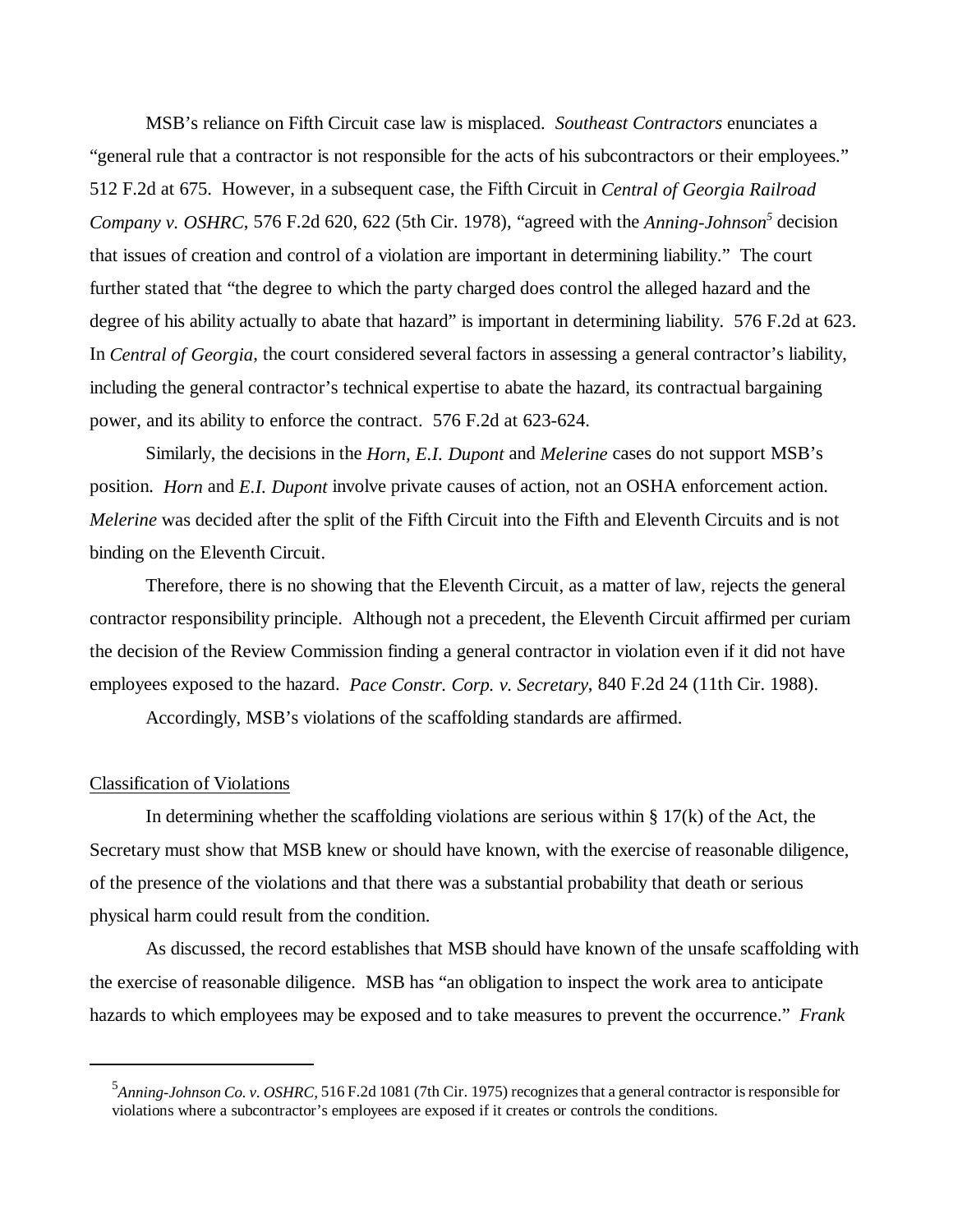MSB's reliance on Fifth Circuit case law is misplaced. *Southeast Contractors* enunciates a "general rule that a contractor is not responsible for the acts of his subcontractors or their employees." 512 F.2d at 675. However, in a subsequent case, the Fifth Circuit in *Central of Georgia Railroad* Company v. OSHRC, 576 F.2d 620, 622 (5th Cir. 1978), "agreed with the *Anning-Johnson*<sup>5</sup> decision that issues of creation and control of a violation are important in determining liability." The court further stated that "the degree to which the party charged does control the alleged hazard and the degree of his ability actually to abate that hazard" is important in determining liability. 576 F.2d at 623. In *Central of Georgia*, the court considered several factors in assessing a general contractor's liability, including the general contractor's technical expertise to abate the hazard, its contractual bargaining power, and its ability to enforce the contract. 576 F.2d at 623-624.

Similarly, the decisions in the *Horn, E.I. Dupont* and *Melerine* cases do not support MSB's position. *Horn* and *E.I. Dupont* involve private causes of action, not an OSHA enforcement action. *Melerine* was decided after the split of the Fifth Circuit into the Fifth and Eleventh Circuits and is not binding on the Eleventh Circuit.

Therefore, there is no showing that the Eleventh Circuit, as a matter of law, rejects the general contractor responsibility principle. Although not a precedent, the Eleventh Circuit affirmed per curiam the decision of the Review Commission finding a general contractor in violation even if it did not have employees exposed to the hazard. *Pace Constr. Corp. v. Secretary*, 840 F.2d 24 (11th Cir. 1988).

Accordingly, MSB's violations of the scaffolding standards are affirmed.

#### Classification of Violations

In determining whether the scaffolding violations are serious within  $\S 17(k)$  of the Act, the Secretary must show that MSB knew or should have known, with the exercise of reasonable diligence, of the presence of the violations and that there was a substantial probability that death or serious physical harm could result from the condition.

As discussed, the record establishes that MSB should have known of the unsafe scaffolding with the exercise of reasonable diligence. MSB has "an obligation to inspect the work area to anticipate hazards to which employees may be exposed and to take measures to prevent the occurrence." *Frank*

<sup>5</sup> *Anning-Johnson Co. v. OSHRC,* 516 F.2d 1081 (7th Cir. 1975) recognizes that a general contractor is responsible for violations where a subcontractor's employees are exposed if it creates or controls the conditions.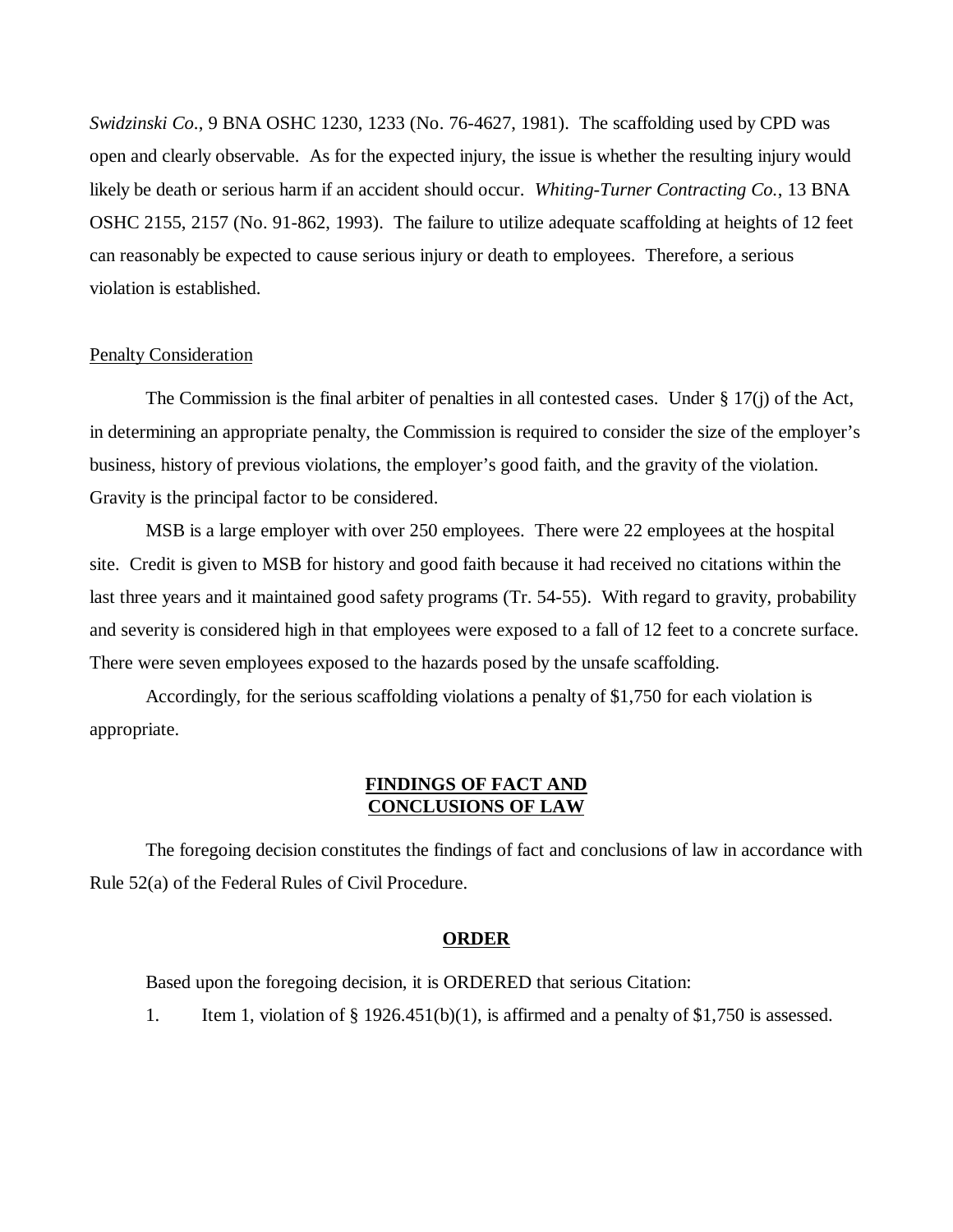*Swidzinski Co*., 9 BNA OSHC 1230, 1233 (No. 76-4627, 1981). The scaffolding used by CPD was open and clearly observable. As for the expected injury, the issue is whether the resulting injury would likely be death or serious harm if an accident should occur. *Whiting-Turner Contracting Co.*, 13 BNA OSHC 2155, 2157 (No. 91-862, 1993). The failure to utilize adequate scaffolding at heights of 12 feet can reasonably be expected to cause serious injury or death to employees. Therefore, a serious violation is established.

# Penalty Consideration

The Commission is the final arbiter of penalties in all contested cases. Under  $\S 17(i)$  of the Act, in determining an appropriate penalty, the Commission is required to consider the size of the employer's business, history of previous violations, the employer's good faith, and the gravity of the violation. Gravity is the principal factor to be considered.

MSB is a large employer with over 250 employees. There were 22 employees at the hospital site. Credit is given to MSB for history and good faith because it had received no citations within the last three years and it maintained good safety programs (Tr. 54-55). With regard to gravity, probability and severity is considered high in that employees were exposed to a fall of 12 feet to a concrete surface. There were seven employees exposed to the hazards posed by the unsafe scaffolding.

Accordingly, for the serious scaffolding violations a penalty of \$1,750 for each violation is appropriate.

## **FINDINGS OF FACT AND CONCLUSIONS OF LAW**

The foregoing decision constitutes the findings of fact and conclusions of law in accordance with Rule 52(a) of the Federal Rules of Civil Procedure.

#### **ORDER**

Based upon the foregoing decision, it is ORDERED that serious Citation:

1. Item 1, violation of  $\S 1926.451(b)(1)$ , is affirmed and a penalty of  $\S 1,750$  is assessed.